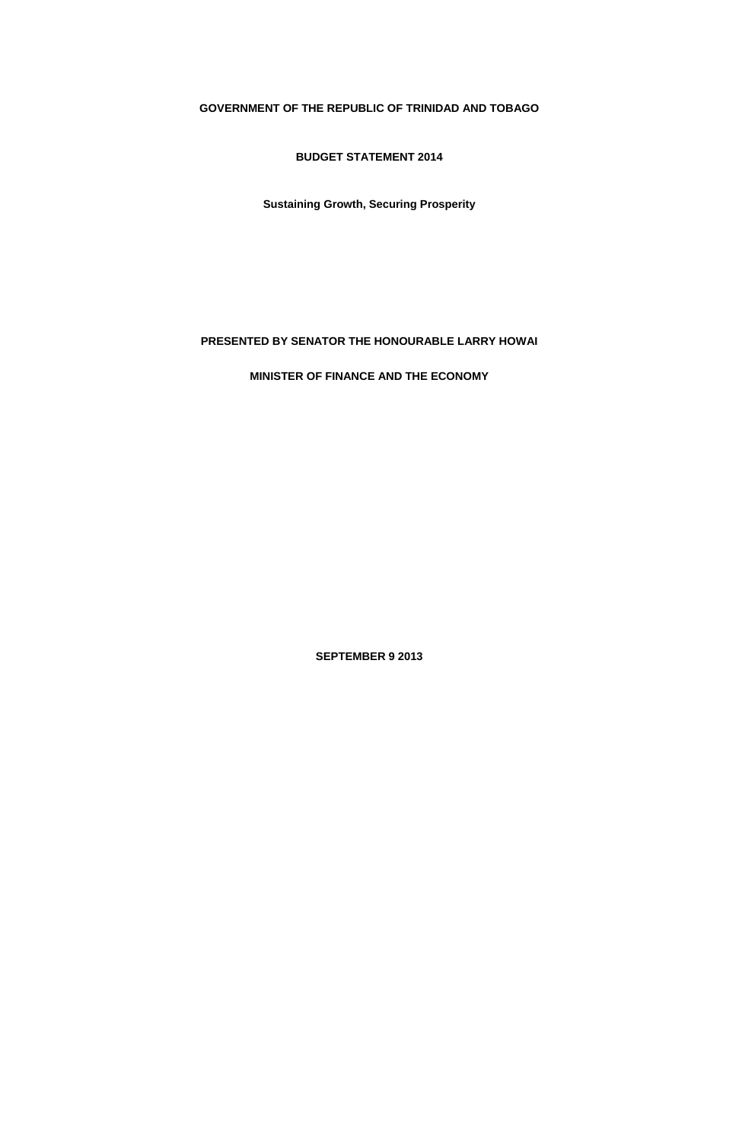# **GOVERNMENT OF THE REPUBLIC OF TRINIDAD AND TOBAGO**

**BUDGET STATEMENT 2014**

**Sustaining Growth, Securing Prosperity**

# **PRESENTED BY SENATOR THE HONOURABLE LARRY HOWAI**

**MINISTER OF FINANCE AND THE ECONOMY**

**SEPTEMBER 9 2013**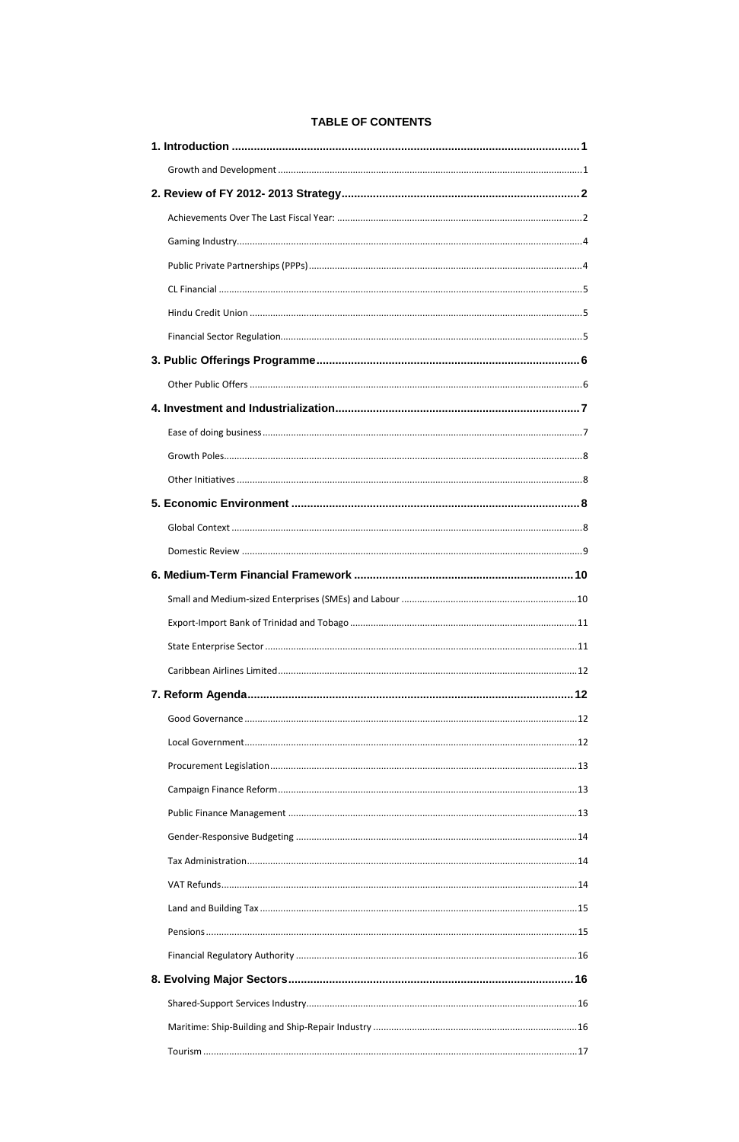# **TABLE OF CONTENTS**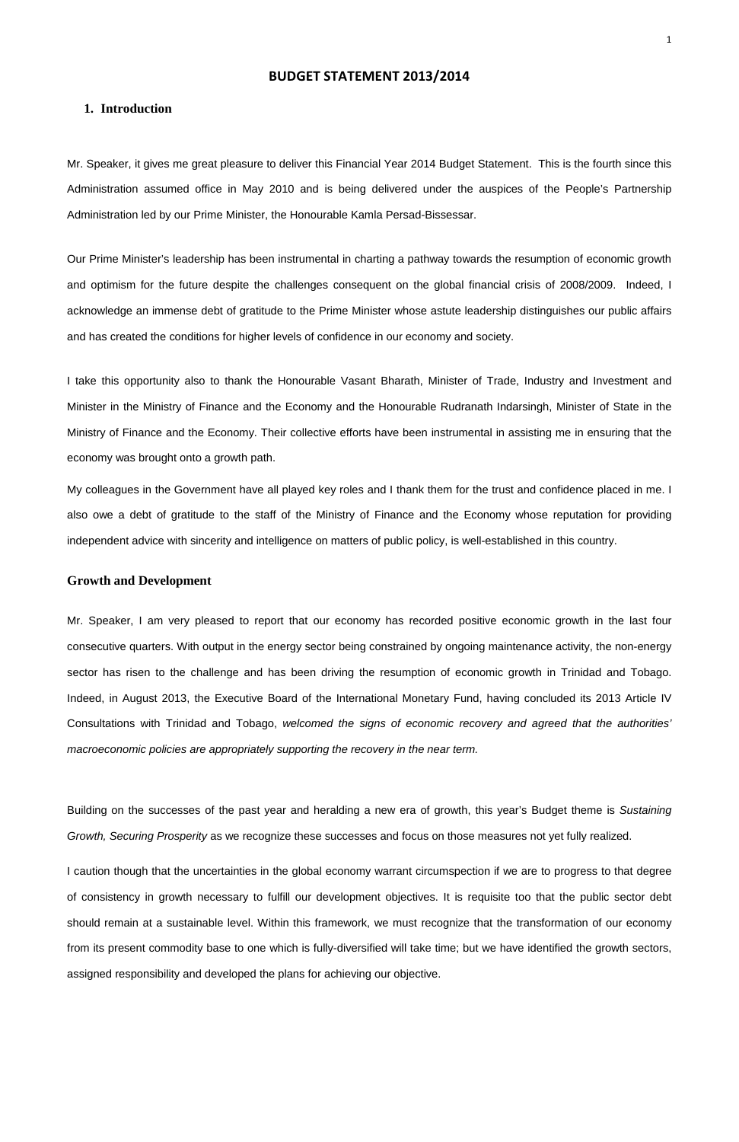## BUDGET STATEMENT 2013/2014

## **1. Introduction**

Mr. Speaker, it gives me great pleasure to deliver this Financial Year 2014 Budget Statement. This is the fourth since this Administration assumed office in May 2010 and is being delivered under the auspices of the People's Partnership Administration led by our Prime Minister, the Honourable Kamla Persad-Bissessar.

Our Prime Minister's leadership has been instrumental in charting a pathway towards the resumption of economic growth and optimism for the future despite the challenges consequent on the global financial crisis of 2008/2009. Indeed, I acknowledge an immense debt of gratitude to the Prime Minister whose astute leadership distinguishes our public affairs and has created the conditions for higher levels of confidence in our economy and society.

I take this opportunity also to thank the Honourable Vasant Bharath, Minister of Trade, Industry and Investment and Minister in the Ministry of Finance and the Economy and the Honourable Rudranath Indarsingh, Minister of State in the Ministry of Finance and the Economy. Their collective efforts have been instrumental in assisting me in ensuring that the economy was brought onto a growth path.

Building on the successes of the past year and heralding a new era of growth, this year's Budget theme is Sustaining Growth, Securing Prosperity as we recognize these successes and focus on those measures not yet fully realized.

My colleagues in the Government have all played key roles and I thank them for the trust and confidence placed in me. I also owe a debt of gratitude to the staff of the Ministry of Finance and the Economy whose reputation for providing independent advice with sincerity and intelligence on matters of public policy, is well-established in this country.

### **Growth and Development**

Mr. Speaker, I am very pleased to report that our economy has recorded positive economic growth in the last four consecutive quarters. With output in the energy sector being constrained by ongoing maintenance activity, the non-energy sector has risen to the challenge and has been driving the resumption of economic growth in Trinidad and Tobago. Indeed, in August 2013, the Executive Board of the International Monetary Fund, having concluded its 2013 Article IV Consultations with Trinidad and Tobago, welcomed the signs of economic recovery and agreed that the authorities' macroeconomic policies are appropriately supporting the recovery in the near term.

I caution though that the uncertainties in the global economy warrant circumspection if we are to progress to that degree

of consistency in growth necessary to fulfill our development objectives. It is requisite too that the public sector debt

should remain at a sustainable level. Within this framework, we must recognize that the transformation of our economy

from its present commodity base to one which is fully-diversified will take time; but we have identified the growth sectors,

assigned responsibility and developed the plans for achieving our objective.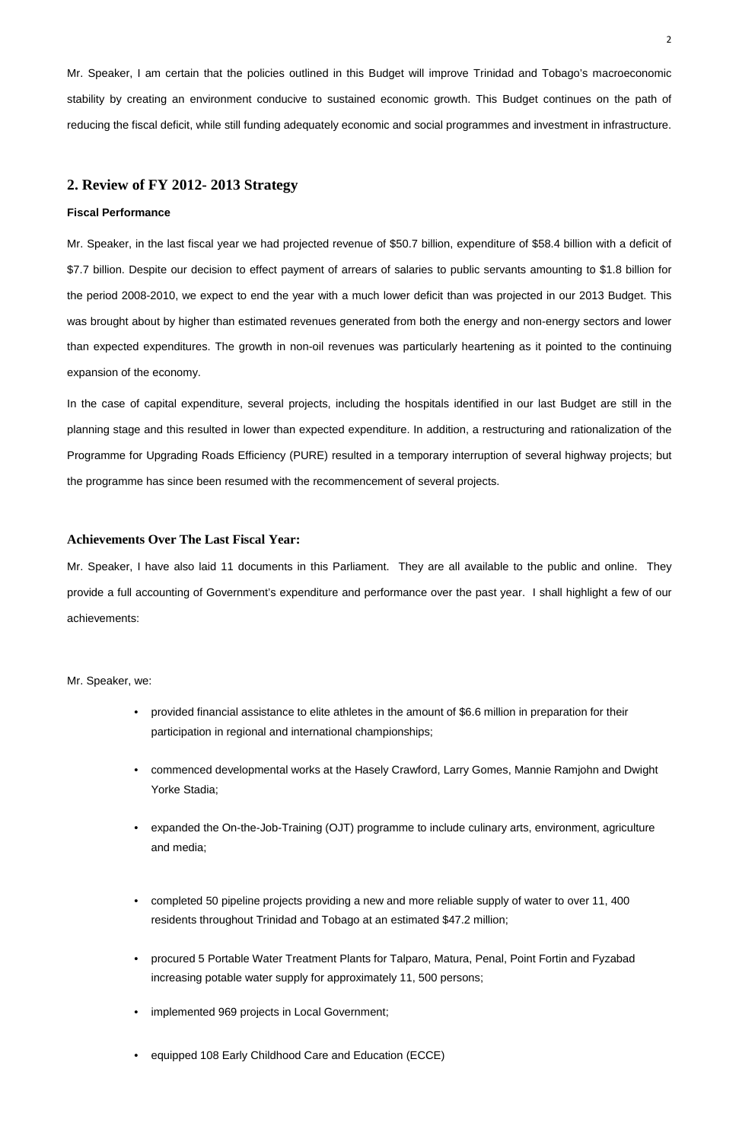Mr. Speaker, I am certain that the policies outlined in this Budget will improve Trinidad and Tobago's macroeconomic stability by creating an environment conducive to sustained economic growth. This Budget continues on the path of reducing the fiscal deficit, while still funding adequately economic and social programmes and investment in infrastructure.

## **2. Review of FY 2012- 2013 Strategy**

### **Fiscal Performance**

Mr. Speaker, in the last fiscal year we had projected revenue of \$50.7 billion, expenditure of \$58.4 billion with a deficit of \$7.7 billion. Despite our decision to effect payment of arrears of salaries to public servants amounting to \$1.8 billion for the period 2008-2010, we expect to end the year with a much lower deficit than was projected in our 2013 Budget. This was brought about by higher than estimated revenues generated from both the energy and non-energy sectors and lower than expected expenditures. The growth in non-oil revenues was particularly heartening as it pointed to the continuing expansion of the economy.

In the case of capital expenditure, several projects, including the hospitals identified in our last Budget are still in the planning stage and this resulted in lower than expected expenditure. In addition, a restructuring and rationalization of the Programme for Upgrading Roads Efficiency (PURE) resulted in a temporary interruption of several highway projects; but the programme has since been resumed with the recommencement of several projects.

- completed 50 pipeline projects providing a new and more reliable supply of water to over 11, 400 residents throughout Trinidad and Tobago at an estimated \$47.2 million;
- procured 5 Portable Water Treatment Plants for Talparo, Matura, Penal, Point Fortin and Fyzabad increasing potable water supply for approximately 11, 500 persons;
- implemented 969 projects in Local Government;
- equipped 108 Early Childhood Care and Education (ECCE)

## **Achievements Over The Last Fiscal Year:**

Mr. Speaker, I have also laid 11 documents in this Parliament. They are all available to the public and online. They provide a full accounting of Government's expenditure and performance over the past year. I shall highlight a few of our achievements:

Mr. Speaker, we:

- provided financial assistance to elite athletes in the amount of \$6.6 million in preparation for their participation in regional and international championships;
- commenced developmental works at the Hasely Crawford, Larry Gomes, Mannie Ramjohn and Dwight Yorke Stadia;
- expanded the On-the-Job-Training (OJT) programme to include culinary arts, environment, agriculture

### and media;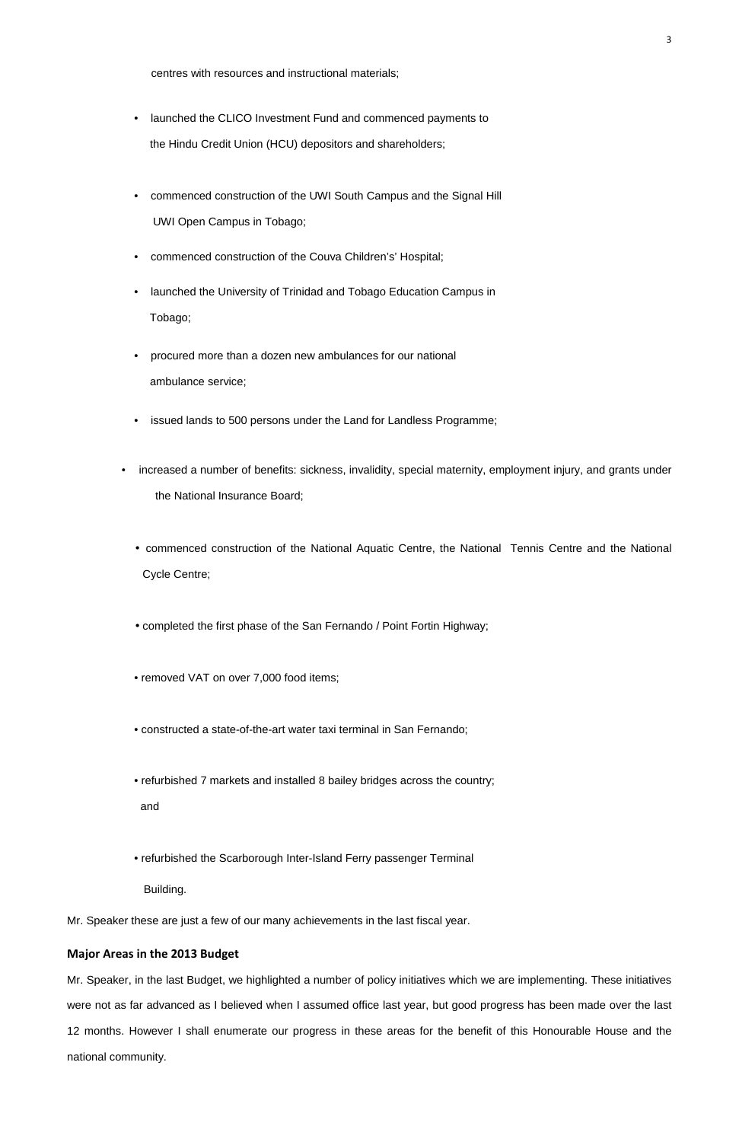centres with resources and instructional materials;

- launched the CLICO Investment Fund and commenced payments to the Hindu Credit Union (HCU) depositors and shareholders;
- commenced construction of the UWI South Campus and the Signal Hill UWI Open Campus in Tobago;
- commenced construction of the Couva Children's' Hospital;
- launched the University of Trinidad and Tobago Education Campus in Tobago;
- procured more than a dozen new ambulances for our national ambulance service;
- issued lands to 500 persons under the Land for Landless Programme;
- increased a number of benefits: sickness, invalidity, special maternity, employment injury, and grants under the National Insurance Board;
	- commenced construction of the National Aquatic Centre, the National Tennis Centre and the National Cycle Centre;
	- completed the first phase of the San Fernando / Point Fortin Highway;
	- removed VAT on over 7,000 food items;
	- constructed a state-of-the-art water taxi terminal in San Fernando;
	- refurbished 7 markets and installed 8 bailey bridges across the country;

and

• refurbished the Scarborough Inter-Island Ferry passenger Terminal

Building.

Mr. Speaker these are just a few of our many achievements in the last fiscal year.

## Major Areas in the 2013 Budget

Mr. Speaker, in the last Budget, we highlighted a number of policy initiatives which we are implementing. These initiatives were not as far advanced as I believed when I assumed office last year, but good progress has been made over the last 12 months. However I shall enumerate our progress in these areas for the benefit of this Honourable House and the national community.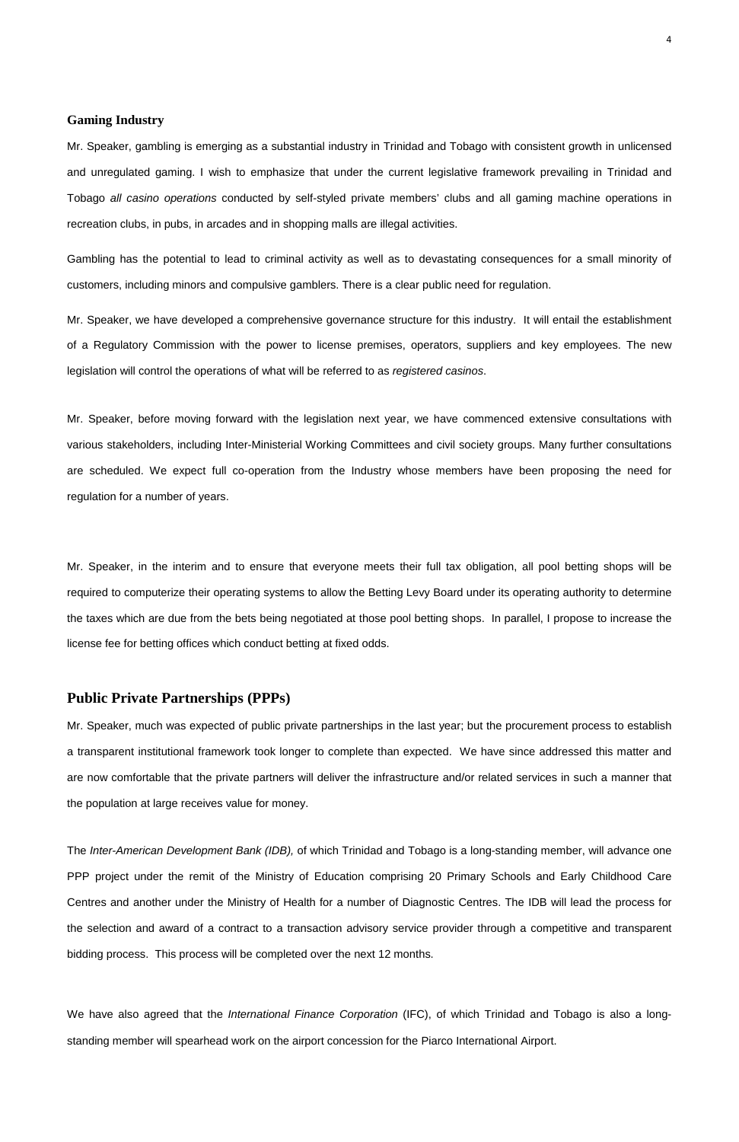The Inter-American Development Bank (IDB), of which Trinidad and Tobago is a long-standing member, will advance one

PPP project under the remit of the Ministry of Education comprising 20 Primary Schools and Early Childhood Care

### **Gaming Industry**

Mr. Speaker, gambling is emerging as a substantial industry in Trinidad and Tobago with consistent growth in unlicensed and unregulated gaming. I wish to emphasize that under the current legislative framework prevailing in Trinidad and Tobago all casino operations conducted by self-styled private members' clubs and all gaming machine operations in recreation clubs, in pubs, in arcades and in shopping malls are illegal activities.

Gambling has the potential to lead to criminal activity as well as to devastating consequences for a small minority of customers, including minors and compulsive gamblers. There is a clear public need for regulation.

Mr. Speaker, we have developed a comprehensive governance structure for this industry. It will entail the establishment of a Regulatory Commission with the power to license premises, operators, suppliers and key employees. The new legislation will control the operations of what will be referred to as registered casinos.

Mr. Speaker, before moving forward with the legislation next year, we have commenced extensive consultations with various stakeholders, including Inter-Ministerial Working Committees and civil society groups. Many further consultations are scheduled. We expect full co-operation from the Industry whose members have been proposing the need for regulation for a number of years.

We have also agreed that the International Finance Corporation (IFC), of which Trinidad and Tobago is also a longstanding member will spearhead work on the airport concession for the Piarco International Airport.

Mr. Speaker, in the interim and to ensure that everyone meets their full tax obligation, all pool betting shops will be required to computerize their operating systems to allow the Betting Levy Board under its operating authority to determine the taxes which are due from the bets being negotiated at those pool betting shops. In parallel, I propose to increase the license fee for betting offices which conduct betting at fixed odds.

## **Public Private Partnerships (PPPs)**

Mr. Speaker, much was expected of public private partnerships in the last year; but the procurement process to establish a transparent institutional framework took longer to complete than expected. We have since addressed this matter and are now comfortable that the private partners will deliver the infrastructure and/or related services in such a manner that the population at large receives value for money.

Centres and another under the Ministry of Health for a number of Diagnostic Centres. The IDB will lead the process for

the selection and award of a contract to a transaction advisory service provider through a competitive and transparent

bidding process. This process will be completed over the next 12 months.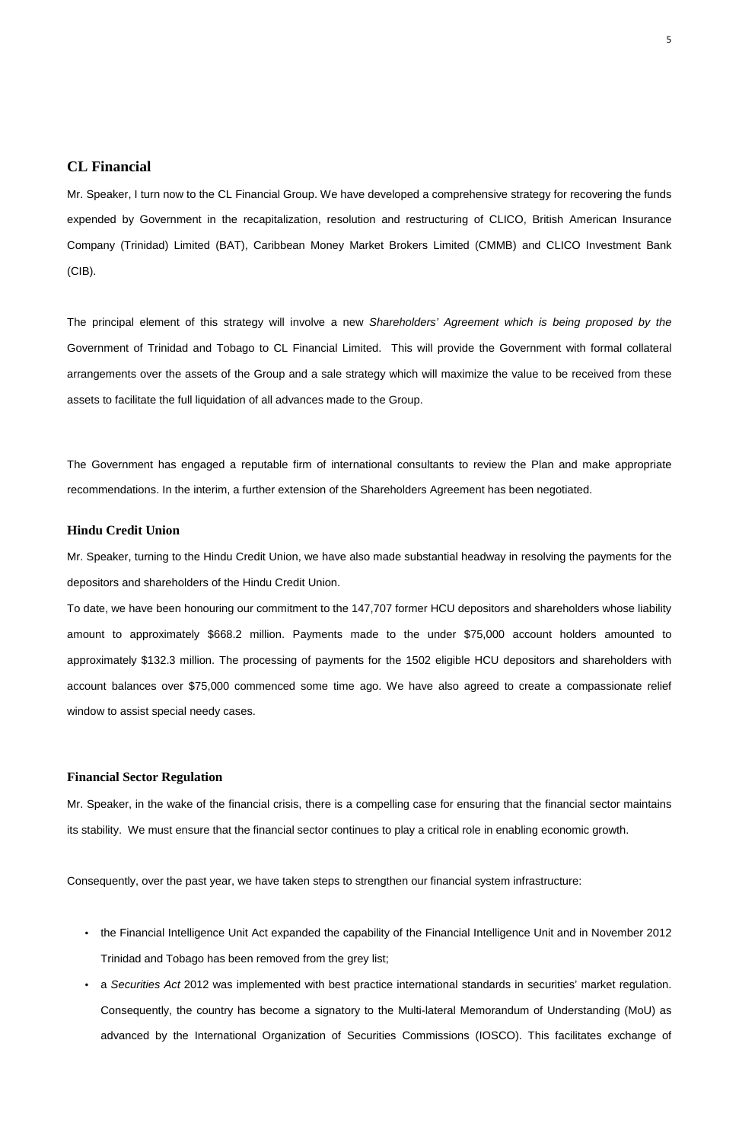# **CL Financial**

Mr. Speaker, I turn now to the CL Financial Group. We have developed a comprehensive strategy for recovering the funds expended by Government in the recapitalization, resolution and restructuring of CLICO, British American Insurance Company (Trinidad) Limited (BAT), Caribbean Money Market Brokers Limited (CMMB) and CLICO Investment Bank (CIB).

The principal element of this strategy will involve a new Shareholders' Agreement which is being proposed by the Government of Trinidad and Tobago to CL Financial Limited. This will provide the Government with formal collateral arrangements over the assets of the Group and a sale strategy which will maximize the value to be received from these assets to facilitate the full liquidation of all advances made to the Group.

The Government has engaged a reputable firm of international consultants to review the Plan and make appropriate recommendations. In the interim, a further extension of the Shareholders Agreement has been negotiated.

## **Hindu Credit Union**

Mr. Speaker, turning to the Hindu Credit Union, we have also made substantial headway in resolving the payments for the depositors and shareholders of the Hindu Credit Union.

To date, we have been honouring our commitment to the 147,707 former HCU depositors and shareholders whose liability amount to approximately \$668.2 million. Payments made to the under \$75,000 account holders amounted to approximately \$132.3 million. The processing of payments for the 1502 eligible HCU depositors and shareholders with account balances over \$75,000 commenced some time ago. We have also agreed to create a compassionate relief window to assist special needy cases.

## **Financial Sector Regulation**

Mr. Speaker, in the wake of the financial crisis, there is a compelling case for ensuring that the financial sector maintains its stability. We must ensure that the financial sector continues to play a critical role in enabling economic growth.

Consequently, over the past year, we have taken steps to strengthen our financial system infrastructure:

- the Financial Intelligence Unit Act expanded the capability of the Financial Intelligence Unit and in November 2012 Trinidad and Tobago has been removed from the grey list;
- a Securities Act 2012 was implemented with best practice international standards in securities' market regulation.

Consequently, the country has become a signatory to the Multi-lateral Memorandum of Understanding (MoU) as

advanced by the International Organization of Securities Commissions (IOSCO). This facilitates exchange of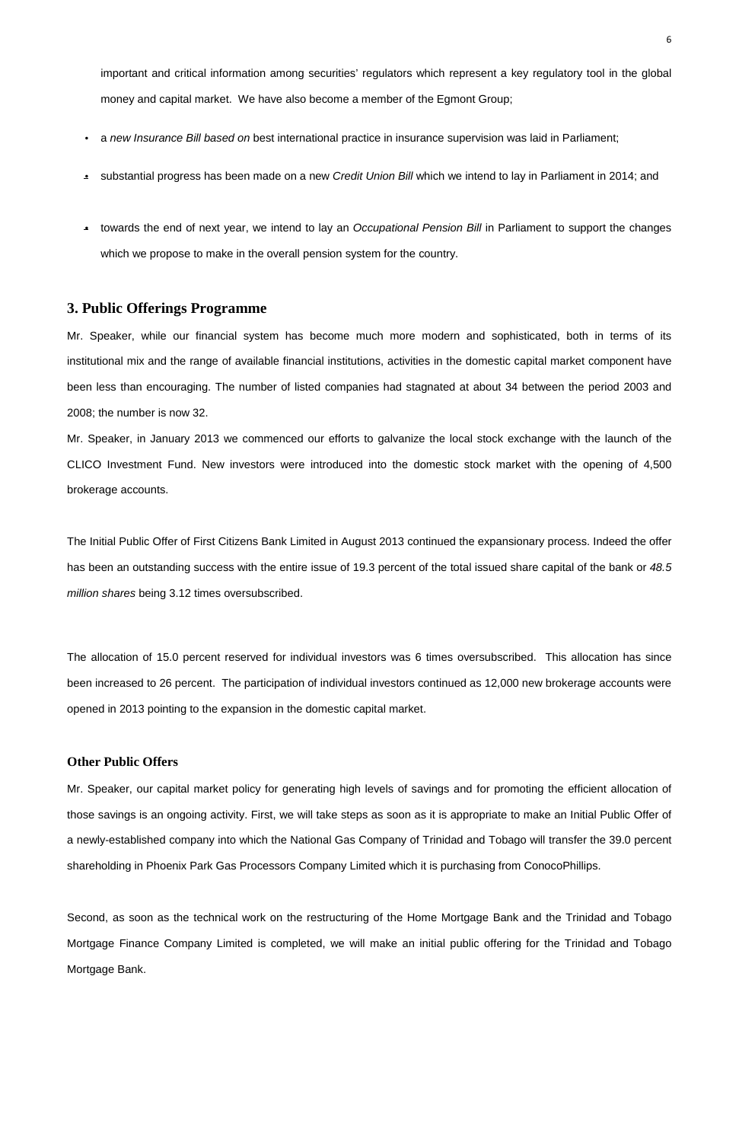important and critical information among securities' regulators which represent a key regulatory tool in the global money and capital market. We have also become a member of the Egmont Group;

- a new Insurance Bill based on best international practice in insurance supervision was laid in Parliament;
- substantial progress has been made on a new Credit Union Bill which we intend to lay in Parliament in 2014; and
- towards the end of next year, we intend to lay an Occupational Pension Bill in Parliament to support the changes which we propose to make in the overall pension system for the country.

## **3. Public Offerings Programme**

Mr. Speaker, while our financial system has become much more modern and sophisticated, both in terms of its institutional mix and the range of available financial institutions, activities in the domestic capital market component have been less than encouraging. The number of listed companies had stagnated at about 34 between the period 2003 and 2008; the number is now 32.

Mr. Speaker, in January 2013 we commenced our efforts to galvanize the local stock exchange with the launch of the CLICO Investment Fund. New investors were introduced into the domestic stock market with the opening of 4,500 brokerage accounts.

The Initial Public Offer of First Citizens Bank Limited in August 2013 continued the expansionary process. Indeed the offer has been an outstanding success with the entire issue of 19.3 percent of the total issued share capital of the bank or 48.5 million shares being 3.12 times oversubscribed.

The allocation of 15.0 percent reserved for individual investors was 6 times oversubscribed. This allocation has since been increased to 26 percent. The participation of individual investors continued as 12,000 new brokerage accounts were opened in 2013 pointing to the expansion in the domestic capital market.

## **Other Public Offers**

Mr. Speaker, our capital market policy for generating high levels of savings and for promoting the efficient allocation of those savings is an ongoing activity. First, we will take steps as soon as it is appropriate to make an Initial Public Offer of a newly-established company into which the National Gas Company of Trinidad and Tobago will transfer the 39.0 percent

shareholding in Phoenix Park Gas Processors Company Limited which it is purchasing from ConocoPhillips.

Second, as soon as the technical work on the restructuring of the Home Mortgage Bank and the Trinidad and Tobago

Mortgage Finance Company Limited is completed, we will make an initial public offering for the Trinidad and Tobago Mortgage Bank.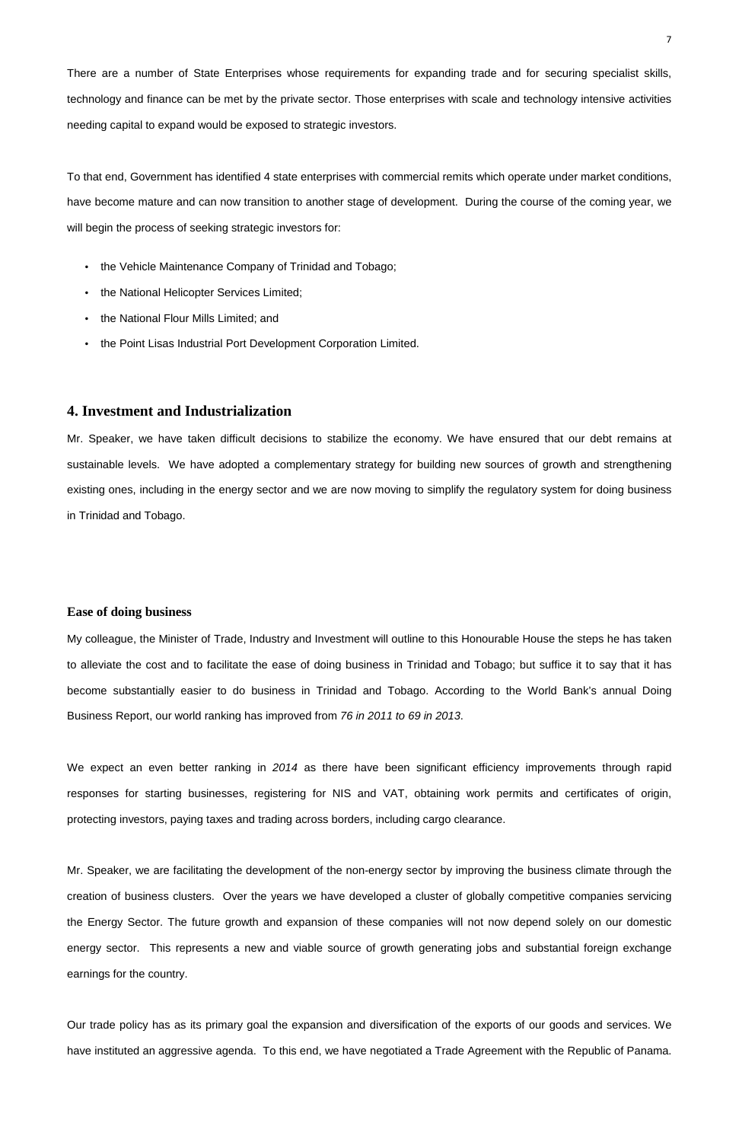There are a number of State Enterprises whose requirements for expanding trade and for securing specialist skills, technology and finance can be met by the private sector. Those enterprises with scale and technology intensive activities needing capital to expand would be exposed to strategic investors.

To that end, Government has identified 4 state enterprises with commercial remits which operate under market conditions, have become mature and can now transition to another stage of development. During the course of the coming year, we will begin the process of seeking strategic investors for:

- the Vehicle Maintenance Company of Trinidad and Tobago;
- the National Helicopter Services Limited;
- the National Flour Mills Limited; and
- the Point Lisas Industrial Port Development Corporation Limited.

## **4. Investment and Industrialization**

We expect an even better ranking in 2014 as there have been significant efficiency improvements through rapid responses for starting businesses, registering for NIS and VAT, obtaining work permits and certificates of origin, protecting investors, paying taxes and trading across borders, including cargo clearance.

Mr. Speaker, we have taken difficult decisions to stabilize the economy. We have ensured that our debt remains at sustainable levels. We have adopted a complementary strategy for building new sources of growth and strengthening existing ones, including in the energy sector and we are now moving to simplify the regulatory system for doing business in Trinidad and Tobago.

### **Ease of doing business**

My colleague, the Minister of Trade, Industry and Investment will outline to this Honourable House the steps he has taken to alleviate the cost and to facilitate the ease of doing business in Trinidad and Tobago; but suffice it to say that it has become substantially easier to do business in Trinidad and Tobago. According to the World Bank's annual Doing Business Report, our world ranking has improved from 76 in 2011 to 69 in 2013.

Mr. Speaker, we are facilitating the development of the non-energy sector by improving the business climate through the creation of business clusters. Over the years we have developed a cluster of globally competitive companies servicing the Energy Sector. The future growth and expansion of these companies will not now depend solely on our domestic energy sector. This represents a new and viable source of growth generating jobs and substantial foreign exchange earnings for the country.

Our trade policy has as its primary goal the expansion and diversification of the exports of our goods and services. We have instituted an aggressive agenda. To this end, we have negotiated a Trade Agreement with the Republic of Panama.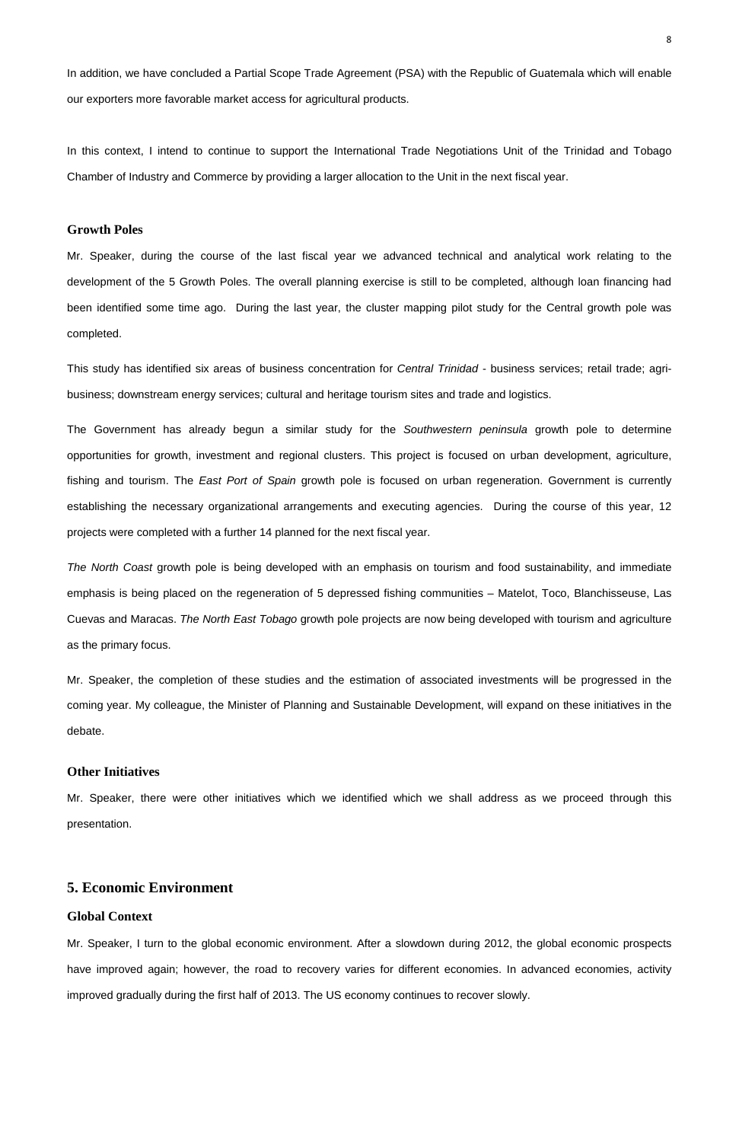In addition, we have concluded a Partial Scope Trade Agreement (PSA) with the Republic of Guatemala which will enable our exporters more favorable market access for agricultural products.

In this context, I intend to continue to support the International Trade Negotiations Unit of the Trinidad and Tobago Chamber of Industry and Commerce by providing a larger allocation to the Unit in the next fiscal year.

## **Growth Poles**

Mr. Speaker, during the course of the last fiscal year we advanced technical and analytical work relating to the development of the 5 Growth Poles. The overall planning exercise is still to be completed, although loan financing had been identified some time ago. During the last year, the cluster mapping pilot study for the Central growth pole was completed.

The Government has already begun a similar study for the Southwestern peninsula growth pole to determine opportunities for growth, investment and regional clusters. This project is focused on urban development, agriculture, fishing and tourism. The East Port of Spain growth pole is focused on urban regeneration. Government is currently establishing the necessary organizational arrangements and executing agencies. During the course of this year, 12 projects were completed with a further 14 planned for the next fiscal year.

This study has identified six areas of business concentration for Central Trinidad - business services; retail trade; agribusiness; downstream energy services; cultural and heritage tourism sites and trade and logistics.

The North Coast growth pole is being developed with an emphasis on tourism and food sustainability, and immediate emphasis is being placed on the regeneration of 5 depressed fishing communities – Matelot, Toco, Blanchisseuse, Las Cuevas and Maracas. The North East Tobago growth pole projects are now being developed with tourism and agriculture as the primary focus.

Mr. Speaker, the completion of these studies and the estimation of associated investments will be progressed in the coming year. My colleague, the Minister of Planning and Sustainable Development, will expand on these initiatives in the debate.

## **Other Initiatives**

Mr. Speaker, there were other initiatives which we identified which we shall address as we proceed through this presentation.

# **5. Economic Environment**

# **Global Context**

Mr. Speaker, I turn to the global economic environment. After a slowdown during 2012, the global economic prospects have improved again; however, the road to recovery varies for different economies. In advanced economies, activity improved gradually during the first half of 2013. The US economy continues to recover slowly.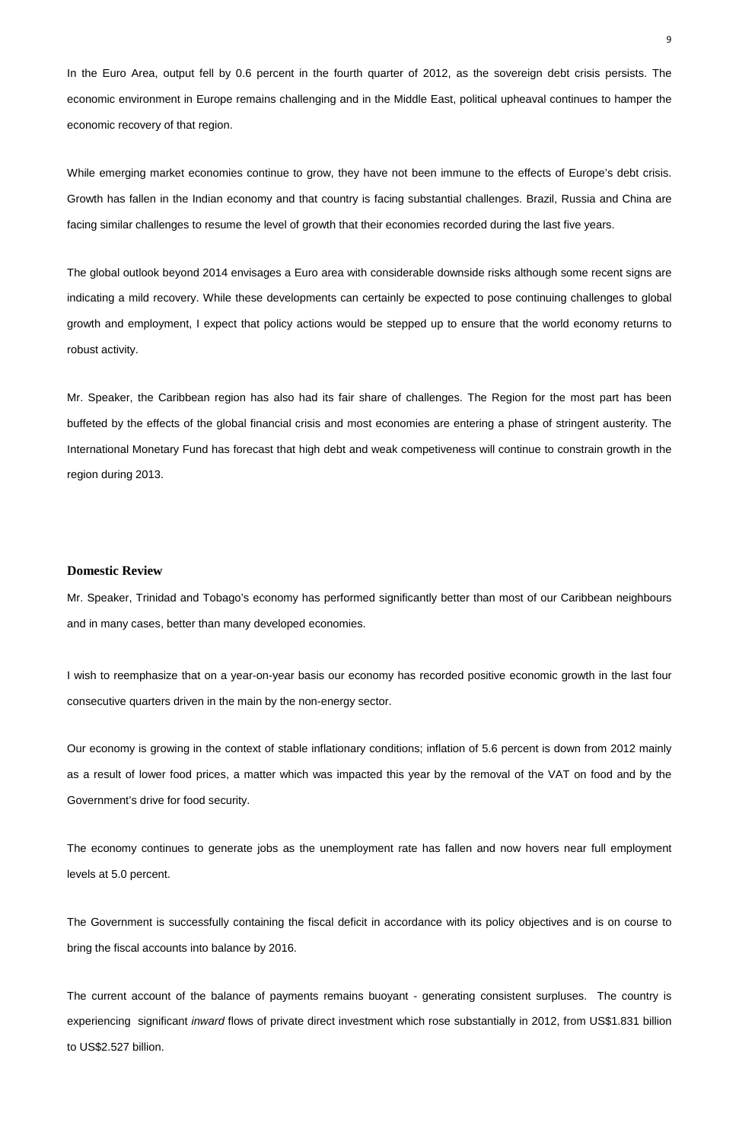In the Euro Area, output fell by 0.6 percent in the fourth quarter of 2012, as the sovereign debt crisis persists. The economic environment in Europe remains challenging and in the Middle East, political upheaval continues to hamper the economic recovery of that region.

While emerging market economies continue to grow, they have not been immune to the effects of Europe's debt crisis. Growth has fallen in the Indian economy and that country is facing substantial challenges. Brazil, Russia and China are facing similar challenges to resume the level of growth that their economies recorded during the last five years.

The global outlook beyond 2014 envisages a Euro area with considerable downside risks although some recent signs are indicating a mild recovery. While these developments can certainly be expected to pose continuing challenges to global growth and employment, I expect that policy actions would be stepped up to ensure that the world economy returns to robust activity.

Mr. Speaker, the Caribbean region has also had its fair share of challenges. The Region for the most part has been buffeted by the effects of the global financial crisis and most economies are entering a phase of stringent austerity. The International Monetary Fund has forecast that high debt and weak competiveness will continue to constrain growth in the region during 2013.

### **Domestic Review**

Mr. Speaker, Trinidad and Tobago's economy has performed significantly better than most of our Caribbean neighbours and in many cases, better than many developed economies.

I wish to reemphasize that on a year-on-year basis our economy has recorded positive economic growth in the last four consecutive quarters driven in the main by the non-energy sector.

Our economy is growing in the context of stable inflationary conditions; inflation of 5.6 percent is down from 2012 mainly as a result of lower food prices, a matter which was impacted this year by the removal of the VAT on food and by the Government's drive for food security.

The economy continues to generate jobs as the unemployment rate has fallen and now hovers near full employment

levels at 5.0 percent.

The Government is successfully containing the fiscal deficit in accordance with its policy objectives and is on course to bring the fiscal accounts into balance by 2016.

The current account of the balance of payments remains buoyant - generating consistent surpluses. The country is experiencing significant inward flows of private direct investment which rose substantially in 2012, from US\$1.831 billion to US\$2.527 billion.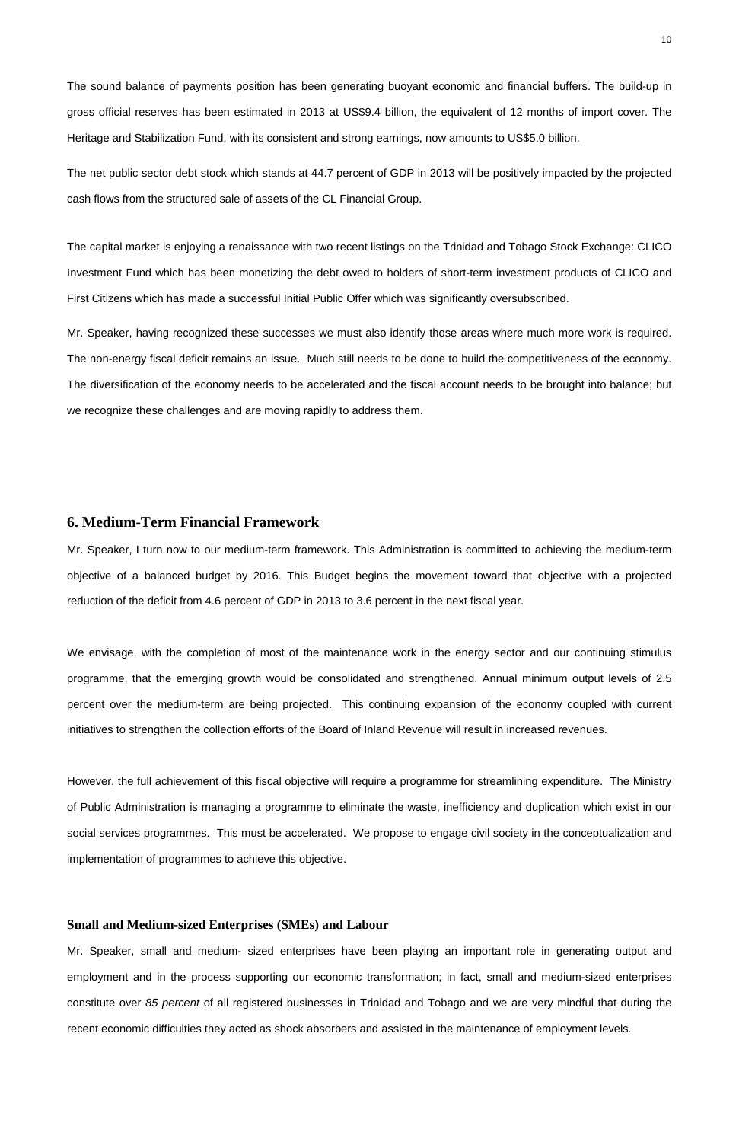The sound balance of payments position has been generating buoyant economic and financial buffers. The build-up in gross official reserves has been estimated in 2013 at US\$9.4 billion, the equivalent of 12 months of import cover. The Heritage and Stabilization Fund, with its consistent and strong earnings, now amounts to US\$5.0 billion.

The net public sector debt stock which stands at 44.7 percent of GDP in 2013 will be positively impacted by the projected cash flows from the structured sale of assets of the CL Financial Group.

The capital market is enjoying a renaissance with two recent listings on the Trinidad and Tobago Stock Exchange: CLICO Investment Fund which has been monetizing the debt owed to holders of short-term investment products of CLICO and First Citizens which has made a successful Initial Public Offer which was significantly oversubscribed.

Mr. Speaker, having recognized these successes we must also identify those areas where much more work is required. The non-energy fiscal deficit remains an issue. Much still needs to be done to build the competitiveness of the economy. The diversification of the economy needs to be accelerated and the fiscal account needs to be brought into balance; but we recognize these challenges and are moving rapidly to address them.

# **6. Medium-Term Financial Framework**

Mr. Speaker, I turn now to our medium-term framework. This Administration is committed to achieving the medium-term objective of a balanced budget by 2016. This Budget begins the movement toward that objective with a projected reduction of the deficit from 4.6 percent of GDP in 2013 to 3.6 percent in the next fiscal year.

We envisage, with the completion of most of the maintenance work in the energy sector and our continuing stimulus programme, that the emerging growth would be consolidated and strengthened. Annual minimum output levels of 2.5 percent over the medium-term are being projected. This continuing expansion of the economy coupled with current initiatives to strengthen the collection efforts of the Board of Inland Revenue will result in increased revenues.

However, the full achievement of this fiscal objective will require a programme for streamlining expenditure. The Ministry of Public Administration is managing a programme to eliminate the waste, inefficiency and duplication which exist in our social services programmes. This must be accelerated. We propose to engage civil society in the conceptualization and

implementation of programmes to achieve this objective.

# **Small and Medium-sized Enterprises (SMEs) and Labour**

Mr. Speaker, small and medium- sized enterprises have been playing an important role in generating output and employment and in the process supporting our economic transformation; in fact, small and medium-sized enterprises constitute over 85 percent of all registered businesses in Trinidad and Tobago and we are very mindful that during the recent economic difficulties they acted as shock absorbers and assisted in the maintenance of employment levels.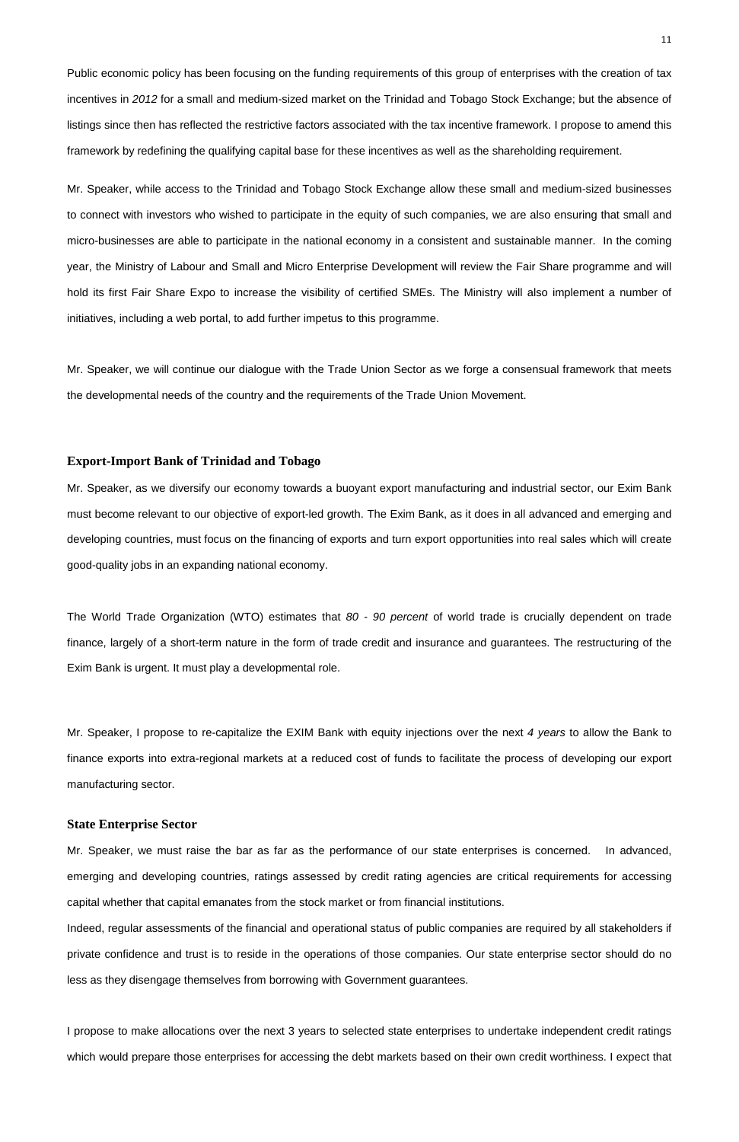Public economic policy has been focusing on the funding requirements of this group of enterprises with the creation of tax incentives in 2012 for a small and medium-sized market on the Trinidad and Tobago Stock Exchange; but the absence of listings since then has reflected the restrictive factors associated with the tax incentive framework. I propose to amend this framework by redefining the qualifying capital base for these incentives as well as the shareholding requirement.

Mr. Speaker, while access to the Trinidad and Tobago Stock Exchange allow these small and medium-sized businesses to connect with investors who wished to participate in the equity of such companies, we are also ensuring that small and micro-businesses are able to participate in the national economy in a consistent and sustainable manner. In the coming year, the Ministry of Labour and Small and Micro Enterprise Development will review the Fair Share programme and will hold its first Fair Share Expo to increase the visibility of certified SMEs. The Ministry will also implement a number of initiatives, including a web portal, to add further impetus to this programme.

The World Trade Organization (WTO) estimates that 80 - 90 percent of world trade is crucially dependent on trade finance, largely of a short-term nature in the form of trade credit and insurance and guarantees. The restructuring of the Exim Bank is urgent. It must play a developmental role.

Mr. Speaker, I propose to re-capitalize the EXIM Bank with equity injections over the next 4 years to allow the Bank to finance exports into extra-regional markets at a reduced cost of funds to facilitate the process of developing our export manufacturing sector.

Mr. Speaker, we will continue our dialogue with the Trade Union Sector as we forge a consensual framework that meets the developmental needs of the country and the requirements of the Trade Union Movement.

## **Export-Import Bank of Trinidad and Tobago**

Mr. Speaker, as we diversify our economy towards a buoyant export manufacturing and industrial sector, our Exim Bank must become relevant to our objective of export-led growth. The Exim Bank, as it does in all advanced and emerging and developing countries, must focus on the financing of exports and turn export opportunities into real sales which will create good-quality jobs in an expanding national economy.

### **State Enterprise Sector**

Mr. Speaker, we must raise the bar as far as the performance of our state enterprises is concerned. In advanced,

emerging and developing countries, ratings assessed by credit rating agencies are critical requirements for accessing

capital whether that capital emanates from the stock market or from financial institutions.

Indeed, regular assessments of the financial and operational status of public companies are required by all stakeholders if

private confidence and trust is to reside in the operations of those companies. Our state enterprise sector should do no

less as they disengage themselves from borrowing with Government guarantees.

I propose to make allocations over the next 3 years to selected state enterprises to undertake independent credit ratings which would prepare those enterprises for accessing the debt markets based on their own credit worthiness. I expect that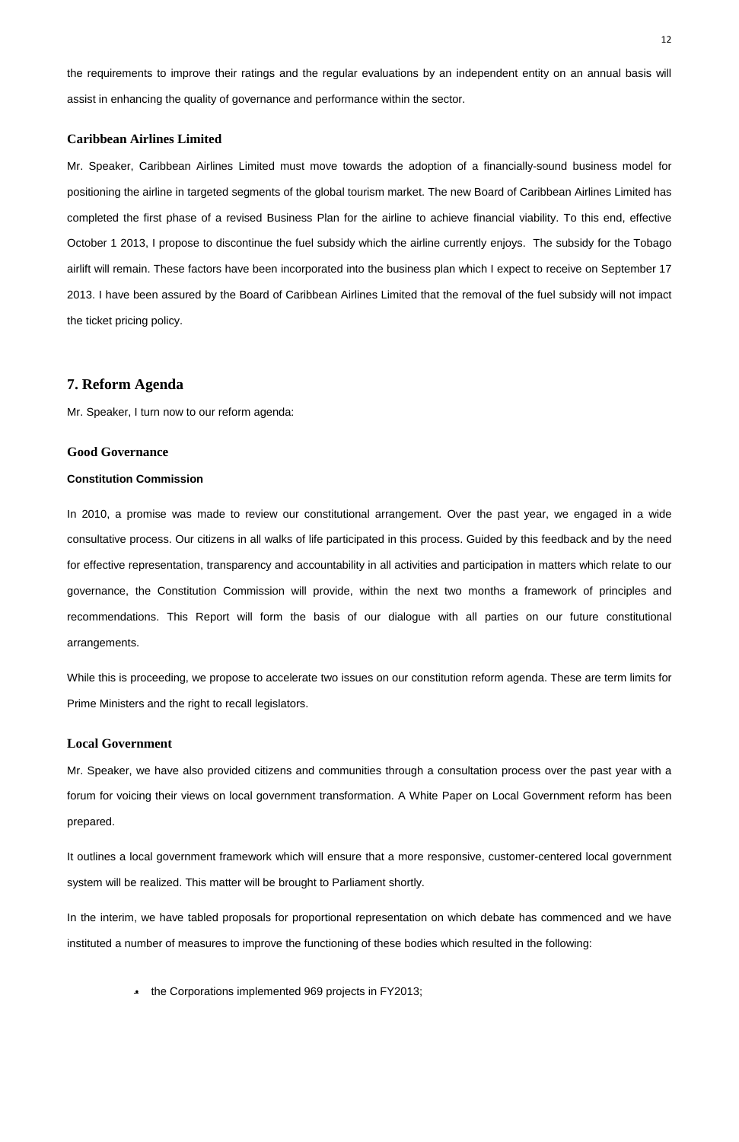the requirements to improve their ratings and the regular evaluations by an independent entity on an annual basis will assist in enhancing the quality of governance and performance within the sector.

## **Caribbean Airlines Limited**

Mr. Speaker, Caribbean Airlines Limited must move towards the adoption of a financially-sound business model for positioning the airline in targeted segments of the global tourism market. The new Board of Caribbean Airlines Limited has completed the first phase of a revised Business Plan for the airline to achieve financial viability. To this end, effective October 1 2013, I propose to discontinue the fuel subsidy which the airline currently enjoys. The subsidy for the Tobago airlift will remain. These factors have been incorporated into the business plan which I expect to receive on September 17 2013. I have been assured by the Board of Caribbean Airlines Limited that the removal of the fuel subsidy will not impact the ticket pricing policy.

# **7. Reform Agenda**

Mr. Speaker, I turn now to our reform agenda:

### **Good Governance**

### **Constitution Commission**

In 2010, a promise was made to review our constitutional arrangement. Over the past year, we engaged in a wide consultative process. Our citizens in all walks of life participated in this process. Guided by this feedback and by the need for effective representation, transparency and accountability in all activities and participation in matters which relate to our governance, the Constitution Commission will provide, within the next two months a framework of principles and recommendations. This Report will form the basis of our dialogue with all parties on our future constitutional arrangements.

While this is proceeding, we propose to accelerate two issues on our constitution reform agenda. These are term limits for Prime Ministers and the right to recall legislators.

## **Local Government**

Mr. Speaker, we have also provided citizens and communities through a consultation process over the past year with a forum for voicing their views on local government transformation. A White Paper on Local Government reform has been prepared.

It outlines a local government framework which will ensure that a more responsive, customer-centered local government

system will be realized. This matter will be brought to Parliament shortly.

In the interim, we have tabled proposals for proportional representation on which debate has commenced and we have

instituted a number of measures to improve the functioning of these bodies which resulted in the following:

• the Corporations implemented 969 projects in FY2013;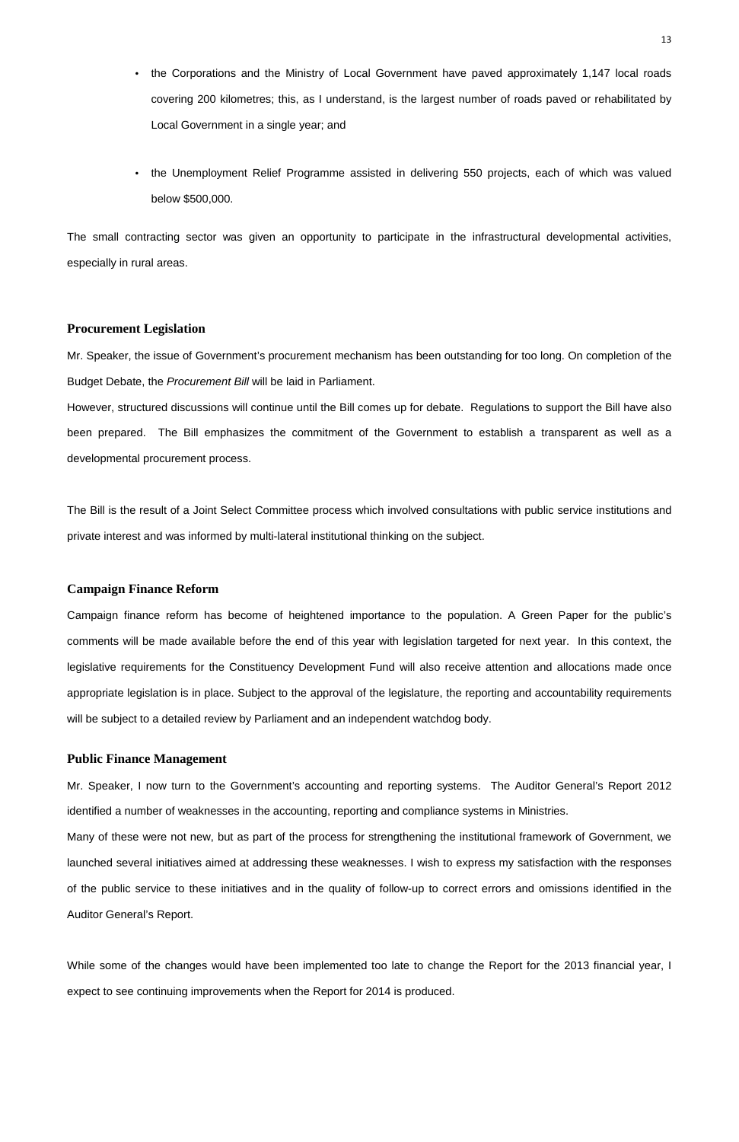- the Corporations and the Ministry of Local Government have paved approximately 1,147 local roads covering 200 kilometres; this, as I understand, is the largest number of roads paved or rehabilitated by Local Government in a single year; and
- the Unemployment Relief Programme assisted in delivering 550 projects, each of which was valued below \$500,000.

The small contracting sector was given an opportunity to participate in the infrastructural developmental activities, especially in rural areas.

### **Procurement Legislation**

Mr. Speaker, the issue of Government's procurement mechanism has been outstanding for too long. On completion of the Budget Debate, the Procurement Bill will be laid in Parliament.

However, structured discussions will continue until the Bill comes up for debate. Regulations to support the Bill have also been prepared. The Bill emphasizes the commitment of the Government to establish a transparent as well as a developmental procurement process.

The Bill is the result of a Joint Select Committee process which involved consultations with public service institutions and private interest and was informed by multi-lateral institutional thinking on the subject.

## **Campaign Finance Reform**

Campaign finance reform has become of heightened importance to the population. A Green Paper for the public's comments will be made available before the end of this year with legislation targeted for next year. In this context, the legislative requirements for the Constituency Development Fund will also receive attention and allocations made once appropriate legislation is in place. Subject to the approval of the legislature, the reporting and accountability requirements will be subject to a detailed review by Parliament and an independent watchdog body.

## **Public Finance Management**

Mr. Speaker, I now turn to the Government's accounting and reporting systems. The Auditor General's Report 2012 identified a number of weaknesses in the accounting, reporting and compliance systems in Ministries.

Many of these were not new, but as part of the process for strengthening the institutional framework of Government, we

launched several initiatives aimed at addressing these weaknesses. I wish to express my satisfaction with the responses of the public service to these initiatives and in the quality of follow-up to correct errors and omissions identified in the Auditor General's Report.

While some of the changes would have been implemented too late to change the Report for the 2013 financial year, I

expect to see continuing improvements when the Report for 2014 is produced.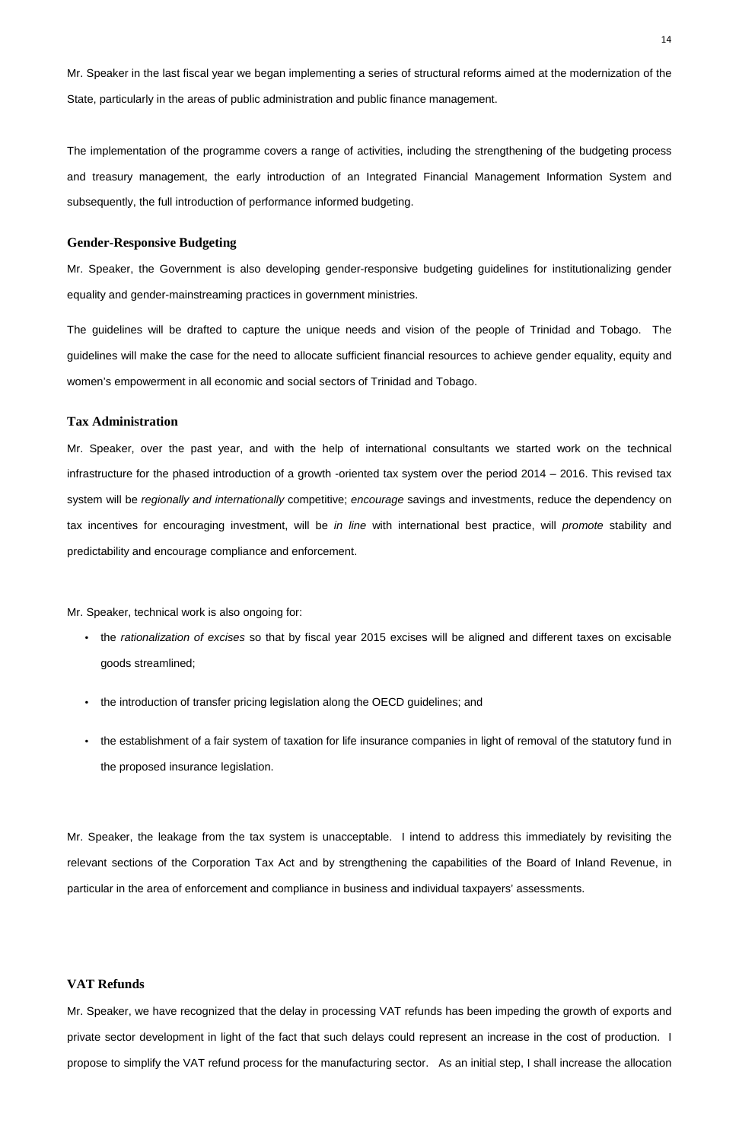Mr. Speaker in the last fiscal year we began implementing a series of structural reforms aimed at the modernization of the State, particularly in the areas of public administration and public finance management.

The implementation of the programme covers a range of activities, including the strengthening of the budgeting process and treasury management, the early introduction of an Integrated Financial Management Information System and subsequently, the full introduction of performance informed budgeting.

### **Gender-Responsive Budgeting**

Mr. Speaker, the Government is also developing gender-responsive budgeting guidelines for institutionalizing gender equality and gender-mainstreaming practices in government ministries.

The guidelines will be drafted to capture the unique needs and vision of the people of Trinidad and Tobago. The guidelines will make the case for the need to allocate sufficient financial resources to achieve gender equality, equity and women's empowerment in all economic and social sectors of Trinidad and Tobago.

- the rationalization of excises so that by fiscal year 2015 excises will be aligned and different taxes on excisable goods streamlined;
- the introduction of transfer pricing legislation along the OECD guidelines; and
- the establishment of a fair system of taxation for life insurance companies in light of removal of the statutory fund in the proposed insurance legislation.

## **Tax Administration**

Mr. Speaker, over the past year, and with the help of international consultants we started work on the technical infrastructure for the phased introduction of a growth -oriented tax system over the period 2014 – 2016. This revised tax system will be *regionally and internationally* competitive; encourage savings and investments, reduce the dependency on tax incentives for encouraging investment, will be *in line* with international best practice, will *promote* stability and predictability and encourage compliance and enforcement.

Mr. Speaker, technical work is also ongoing for:

Mr. Speaker, the leakage from the tax system is unacceptable. I intend to address this immediately by revisiting the

relevant sections of the Corporation Tax Act and by strengthening the capabilities of the Board of Inland Revenue, in

particular in the area of enforcement and compliance in business and individual taxpayers' assessments.

# **VAT Refunds**

Mr. Speaker, we have recognized that the delay in processing VAT refunds has been impeding the growth of exports and

private sector development in light of the fact that such delays could represent an increase in the cost of production. I

propose to simplify the VAT refund process for the manufacturing sector. As an initial step, I shall increase the allocation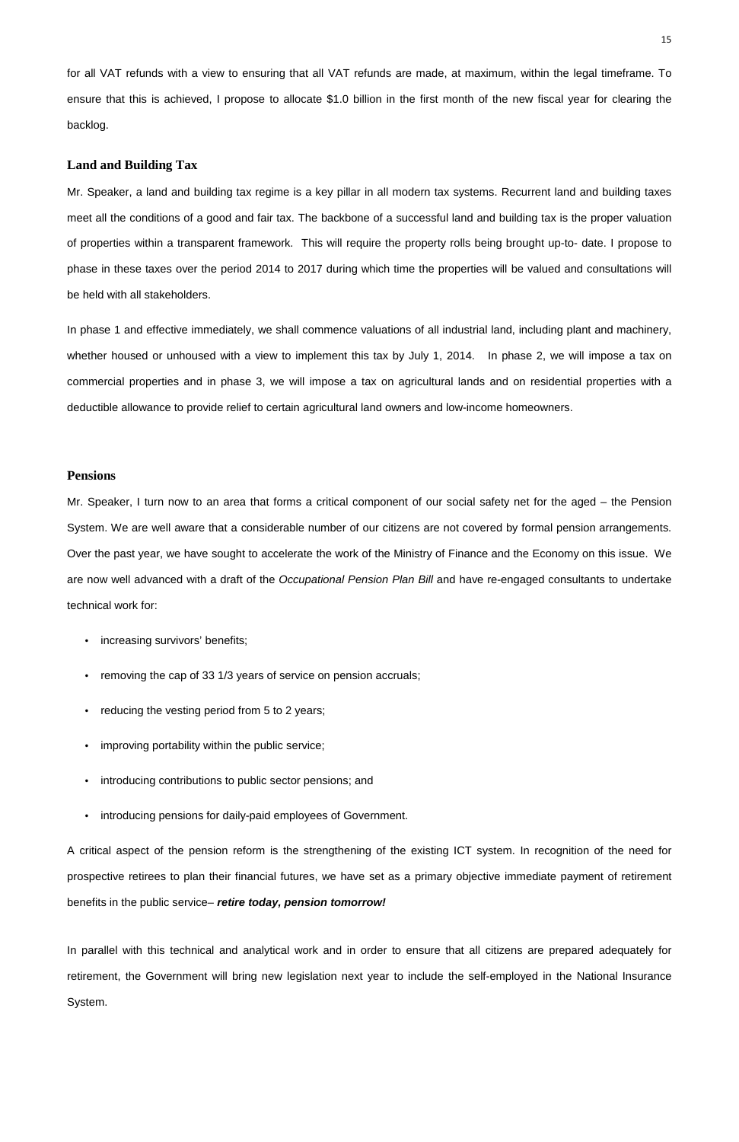for all VAT refunds with a view to ensuring that all VAT refunds are made, at maximum, within the legal timeframe. To ensure that this is achieved, I propose to allocate \$1.0 billion in the first month of the new fiscal year for clearing the backlog.

### **Land and Building Tax**

Mr. Speaker, a land and building tax regime is a key pillar in all modern tax systems. Recurrent land and building taxes meet all the conditions of a good and fair tax. The backbone of a successful land and building tax is the proper valuation of properties within a transparent framework. This will require the property rolls being brought up-to- date. I propose to phase in these taxes over the period 2014 to 2017 during which time the properties will be valued and consultations will be held with all stakeholders.

In phase 1 and effective immediately, we shall commence valuations of all industrial land, including plant and machinery, whether housed or unhoused with a view to implement this tax by July 1, 2014. In phase 2, we will impose a tax on commercial properties and in phase 3, we will impose a tax on agricultural lands and on residential properties with a deductible allowance to provide relief to certain agricultural land owners and low-income homeowners.

- increasing survivors' benefits;
- removing the cap of 33 1/3 years of service on pension accruals;
- reducing the vesting period from 5 to 2 years;
- improving portability within the public service;
- introducing contributions to public sector pensions; and
- introducing pensions for daily-paid employees of Government.

### **Pensions**

Mr. Speaker, I turn now to an area that forms a critical component of our social safety net for the aged – the Pension System. We are well aware that a considerable number of our citizens are not covered by formal pension arrangements. Over the past year, we have sought to accelerate the work of the Ministry of Finance and the Economy on this issue. We are now well advanced with a draft of the Occupational Pension Plan Bill and have re-engaged consultants to undertake technical work for:

A critical aspect of the pension reform is the strengthening of the existing ICT system. In recognition of the need for

prospective retirees to plan their financial futures, we have set as a primary objective immediate payment of retirement

benefits in the public service– **retire today, pension tomorrow!**

In parallel with this technical and analytical work and in order to ensure that all citizens are prepared adequately for retirement, the Government will bring new legislation next year to include the self-employed in the National Insurance

System.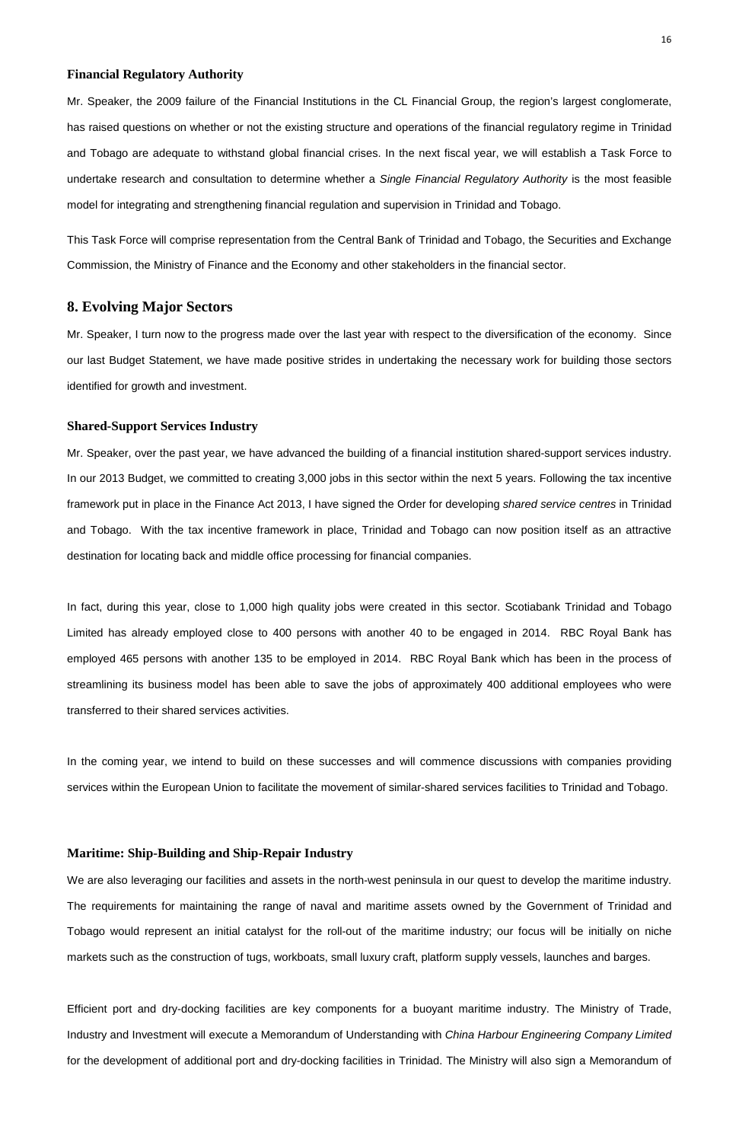### **Financial Regulatory Authority**

Mr. Speaker, the 2009 failure of the Financial Institutions in the CL Financial Group, the region's largest conglomerate, has raised questions on whether or not the existing structure and operations of the financial regulatory regime in Trinidad and Tobago are adequate to withstand global financial crises. In the next fiscal year, we will establish a Task Force to undertake research and consultation to determine whether a Single Financial Regulatory Authority is the most feasible model for integrating and strengthening financial regulation and supervision in Trinidad and Tobago.

This Task Force will comprise representation from the Central Bank of Trinidad and Tobago, the Securities and Exchange Commission, the Ministry of Finance and the Economy and other stakeholders in the financial sector.

# **8. Evolving Major Sectors**

Mr. Speaker, I turn now to the progress made over the last year with respect to the diversification of the economy. Since our last Budget Statement, we have made positive strides in undertaking the necessary work for building those sectors identified for growth and investment.

### **Shared-Support Services Industry**

In the coming year, we intend to build on these successes and will commence discussions with companies providing services within the European Union to facilitate the movement of similar-shared services facilities to Trinidad and Tobago.

Mr. Speaker, over the past year, we have advanced the building of a financial institution shared-support services industry. In our 2013 Budget, we committed to creating 3,000 jobs in this sector within the next 5 years. Following the tax incentive framework put in place in the Finance Act 2013, I have signed the Order for developing shared service centres in Trinidad and Tobago. With the tax incentive framework in place, Trinidad and Tobago can now position itself as an attractive destination for locating back and middle office processing for financial companies.

In fact, during this year, close to 1,000 high quality jobs were created in this sector. Scotiabank Trinidad and Tobago Limited has already employed close to 400 persons with another 40 to be engaged in 2014. RBC Royal Bank has employed 465 persons with another 135 to be employed in 2014. RBC Royal Bank which has been in the process of streamlining its business model has been able to save the jobs of approximately 400 additional employees who were transferred to their shared services activities.

# **Maritime: Ship-Building and Ship-Repair Industry**

We are also leveraging our facilities and assets in the north-west peninsula in our quest to develop the maritime industry.

The requirements for maintaining the range of naval and maritime assets owned by the Government of Trinidad and

Tobago would represent an initial catalyst for the roll-out of the maritime industry; our focus will be initially on niche

markets such as the construction of tugs, workboats, small luxury craft, platform supply vessels, launches and barges.

Efficient port and dry-docking facilities are key components for a buoyant maritime industry. The Ministry of Trade, Industry and Investment will execute a Memorandum of Understanding with China Harbour Engineering Company Limited for the development of additional port and dry-docking facilities in Trinidad. The Ministry will also sign a Memorandum of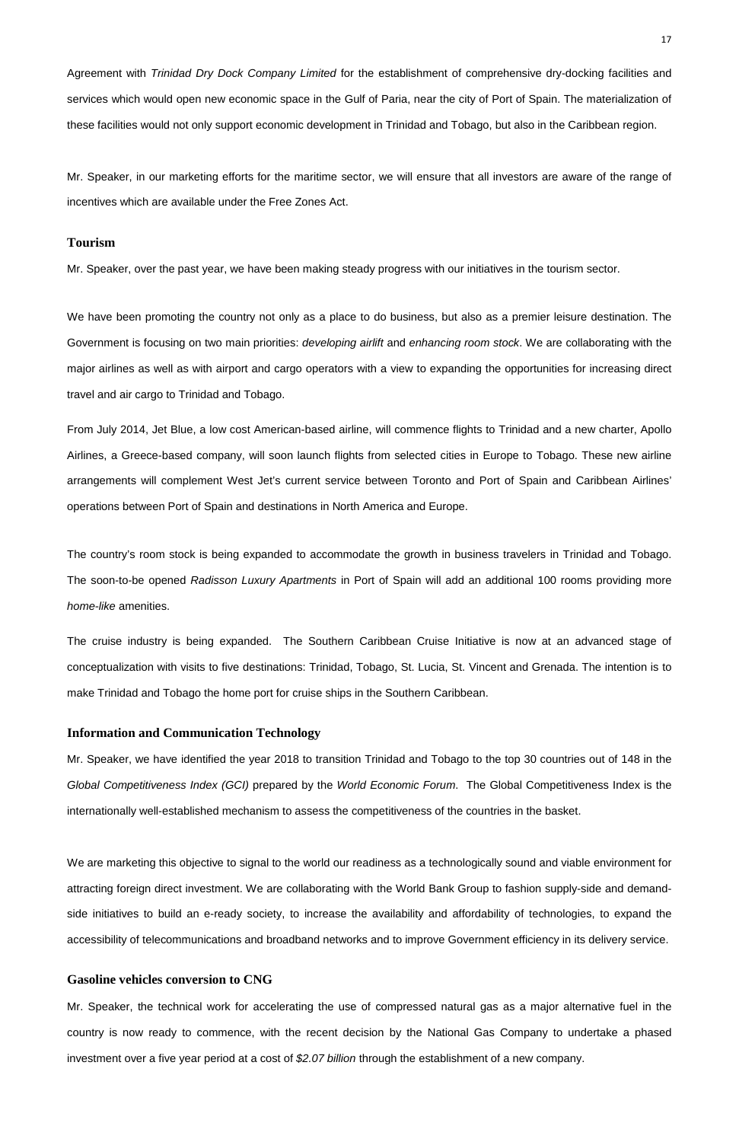Agreement with Trinidad Dry Dock Company Limited for the establishment of comprehensive dry-docking facilities and services which would open new economic space in the Gulf of Paria, near the city of Port of Spain. The materialization of these facilities would not only support economic development in Trinidad and Tobago, but also in the Caribbean region.

Mr. Speaker, in our marketing efforts for the maritime sector, we will ensure that all investors are aware of the range of incentives which are available under the Free Zones Act.

### **Tourism**

Mr. Speaker, over the past year, we have been making steady progress with our initiatives in the tourism sector.

We have been promoting the country not only as a place to do business, but also as a premier leisure destination. The Government is focusing on two main priorities: developing airlift and enhancing room stock. We are collaborating with the major airlines as well as with airport and cargo operators with a view to expanding the opportunities for increasing direct travel and air cargo to Trinidad and Tobago.

From July 2014, Jet Blue, a low cost American-based airline, will commence flights to Trinidad and a new charter, Apollo Airlines, a Greece-based company, will soon launch flights from selected cities in Europe to Tobago. These new airline arrangements will complement West Jet's current service between Toronto and Port of Spain and Caribbean Airlines' operations between Port of Spain and destinations in North America and Europe.

Mr. Speaker, the technical work for accelerating the use of compressed natural gas as a major alternative fuel in the country is now ready to commence, with the recent decision by the National Gas Company to undertake a phased investment over a five year period at a cost of \$2.07 billion through the establishment of a new company.

The country's room stock is being expanded to accommodate the growth in business travelers in Trinidad and Tobago. The soon-to-be opened Radisson Luxury Apartments in Port of Spain will add an additional 100 rooms providing more home-like amenities.

The cruise industry is being expanded. The Southern Caribbean Cruise Initiative is now at an advanced stage of conceptualization with visits to five destinations: Trinidad, Tobago, St. Lucia, St. Vincent and Grenada. The intention is to make Trinidad and Tobago the home port for cruise ships in the Southern Caribbean.

### **Information and Communication Technology**

Mr. Speaker, we have identified the year 2018 to transition Trinidad and Tobago to the top 30 countries out of 148 in the Global Competitiveness Index (GCI) prepared by the World Economic Forum. The Global Competitiveness Index is the internationally well-established mechanism to assess the competitiveness of the countries in the basket.

We are marketing this objective to signal to the world our readiness as a technologically sound and viable environment for

attracting foreign direct investment. We are collaborating with the World Bank Group to fashion supply-side and demand-

side initiatives to build an e-ready society, to increase the availability and affordability of technologies, to expand the

accessibility of telecommunications and broadband networks and to improve Government efficiency in its delivery service.

## **Gasoline vehicles conversion to CNG**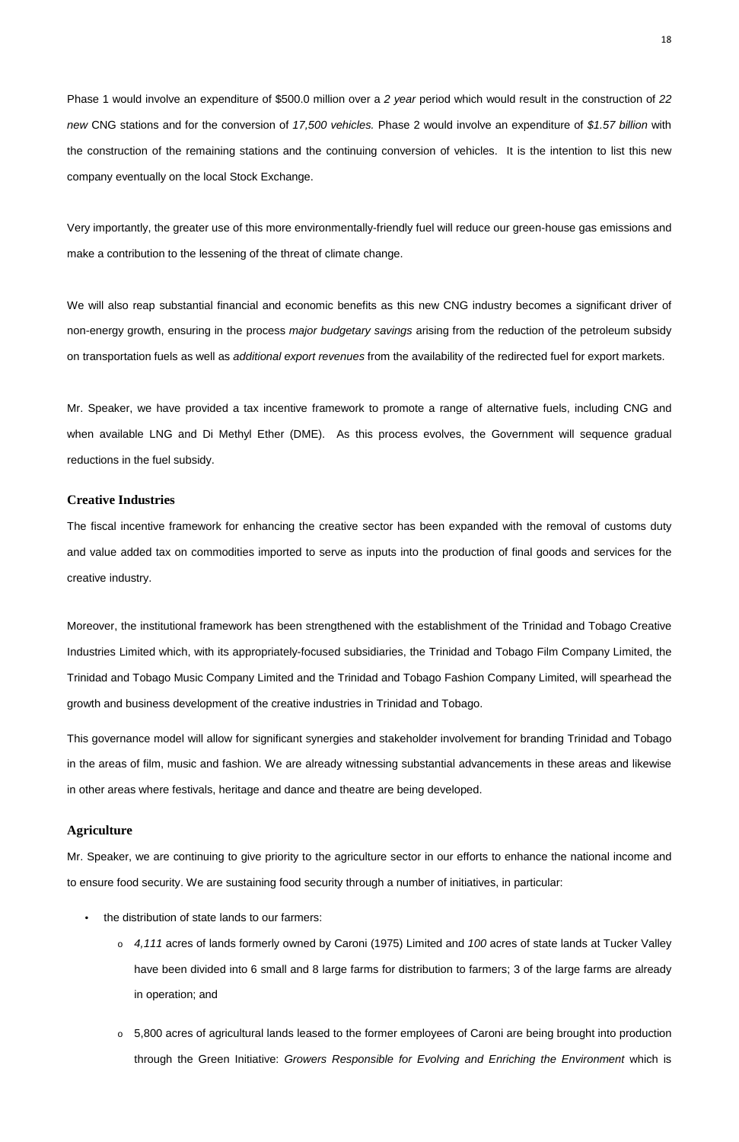Phase 1 would involve an expenditure of \$500.0 million over a 2 year period which would result in the construction of 22 new CNG stations and for the conversion of 17,500 vehicles. Phase 2 would involve an expenditure of \$1.57 billion with the construction of the remaining stations and the continuing conversion of vehicles. It is the intention to list this new company eventually on the local Stock Exchange.

Very importantly, the greater use of this more environmentally-friendly fuel will reduce our green-house gas emissions and make a contribution to the lessening of the threat of climate change.

We will also reap substantial financial and economic benefits as this new CNG industry becomes a significant driver of non-energy growth, ensuring in the process major budgetary savings arising from the reduction of the petroleum subsidy on transportation fuels as well as additional export revenues from the availability of the redirected fuel for export markets.

Mr. Speaker, we have provided a tax incentive framework to promote a range of alternative fuels, including CNG and when available LNG and Di Methyl Ether (DME). As this process evolves, the Government will sequence gradual reductions in the fuel subsidy.

### **Creative Industries**

The fiscal incentive framework for enhancing the creative sector has been expanded with the removal of customs duty and value added tax on commodities imported to serve as inputs into the production of final goods and services for the creative industry.

Moreover, the institutional framework has been strengthened with the establishment of the Trinidad and Tobago Creative Industries Limited which, with its appropriately-focused subsidiaries, the Trinidad and Tobago Film Company Limited, the Trinidad and Tobago Music Company Limited and the Trinidad and Tobago Fashion Company Limited, will spearhead the growth and business development of the creative industries in Trinidad and Tobago.

This governance model will allow for significant synergies and stakeholder involvement for branding Trinidad and Tobago in the areas of film, music and fashion. We are already witnessing substantial advancements in these areas and likewise in other areas where festivals, heritage and dance and theatre are being developed.

## **Agriculture**

Mr. Speaker, we are continuing to give priority to the agriculture sector in our efforts to enhance the national income and

to ensure food security. We are sustaining food security through a number of initiatives, in particular:

- the distribution of state lands to our farmers:
	- $\circ$  4,111 acres of lands formerly owned by Caroni (1975) Limited and 100 acres of state lands at Tucker Valley have been divided into 6 small and 8 large farms for distribution to farmers; 3 of the large farms are already in operation; and
	- o 5,800 acres of agricultural lands leased to the former employees of Caroni are being brought into production through the Green Initiative: Growers Responsible for Evolving and Enriching the Environment which is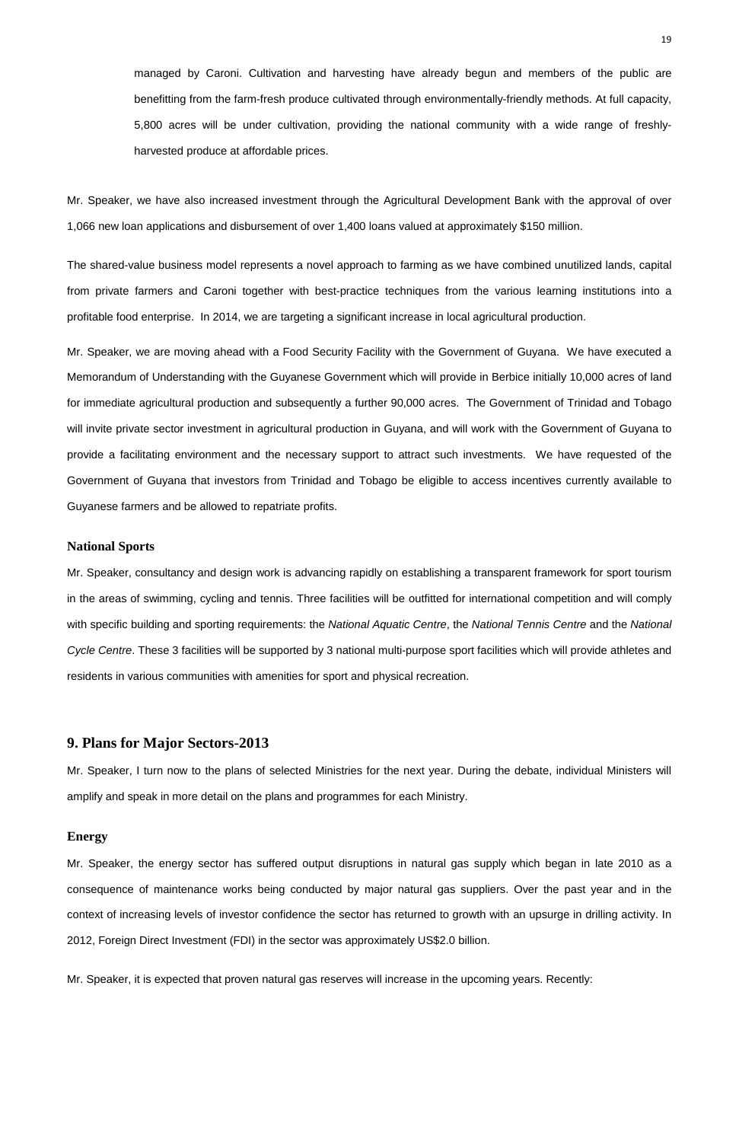managed by Caroni. Cultivation and harvesting have already begun and members of the public are benefitting from the farm-fresh produce cultivated through environmentally-friendly methods. At full capacity, 5,800 acres will be under cultivation, providing the national community with a wide range of freshlyharvested produce at affordable prices.

Mr. Speaker, we have also increased investment through the Agricultural Development Bank with the approval of over 1,066 new loan applications and disbursement of over 1,400 loans valued at approximately \$150 million.

The shared-value business model represents a novel approach to farming as we have combined unutilized lands, capital from private farmers and Caroni together with best-practice techniques from the various learning institutions into a profitable food enterprise. In 2014, we are targeting a significant increase in local agricultural production.

Mr. Speaker, we are moving ahead with a Food Security Facility with the Government of Guyana. We have executed a Memorandum of Understanding with the Guyanese Government which will provide in Berbice initially 10,000 acres of land for immediate agricultural production and subsequently a further 90,000 acres. The Government of Trinidad and Tobago will invite private sector investment in agricultural production in Guyana, and will work with the Government of Guyana to provide a facilitating environment and the necessary support to attract such investments. We have requested of the Government of Guyana that investors from Trinidad and Tobago be eligible to access incentives currently available to Guyanese farmers and be allowed to repatriate profits.

### **National Sports**

Mr. Speaker, consultancy and design work is advancing rapidly on establishing a transparent framework for sport tourism in the areas of swimming, cycling and tennis. Three facilities will be outfitted for international competition and will comply with specific building and sporting requirements: the National Aquatic Centre, the National Tennis Centre and the National Cycle Centre. These 3 facilities will be supported by 3 national multi-purpose sport facilities which will provide athletes and residents in various communities with amenities for sport and physical recreation.

# **9. Plans for Major Sectors-2013**

Mr. Speaker, I turn now to the plans of selected Ministries for the next year. During the debate, individual Ministers will amplify and speak in more detail on the plans and programmes for each Ministry.

### **Energy**

Mr. Speaker, the energy sector has suffered output disruptions in natural gas supply which began in late 2010 as a

consequence of maintenance works being conducted by major natural gas suppliers. Over the past year and in the

context of increasing levels of investor confidence the sector has returned to growth with an upsurge in drilling activity. In

2012, Foreign Direct Investment (FDI) in the sector was approximately US\$2.0 billion.

Mr. Speaker, it is expected that proven natural gas reserves will increase in the upcoming years. Recently: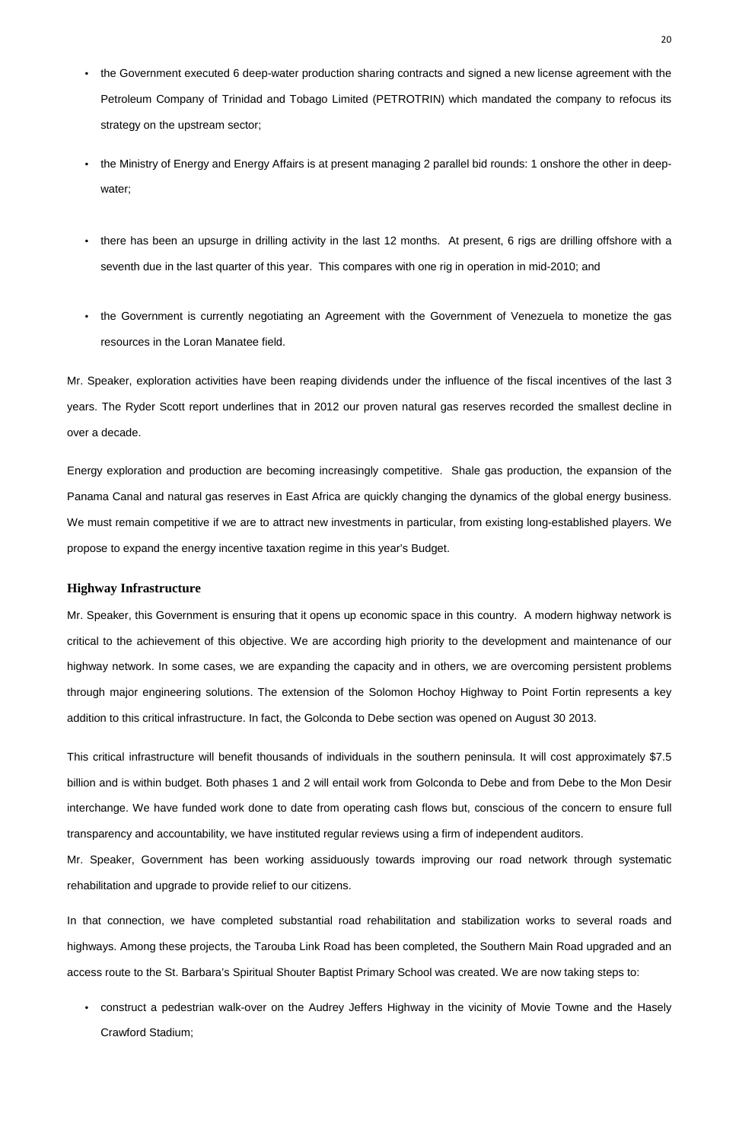- the Government executed 6 deep-water production sharing contracts and signed a new license agreement with the Petroleum Company of Trinidad and Tobago Limited (PETROTRIN) which mandated the company to refocus its strategy on the upstream sector;
- the Ministry of Energy and Energy Affairs is at present managing 2 parallel bid rounds: 1 onshore the other in deepwater;
- there has been an upsurge in drilling activity in the last 12 months. At present, 6 rigs are drilling offshore with a seventh due in the last quarter of this year. This compares with one rig in operation in mid-2010; and
- the Government is currently negotiating an Agreement with the Government of Venezuela to monetize the gas resources in the Loran Manatee field.

Mr. Speaker, exploration activities have been reaping dividends under the influence of the fiscal incentives of the last 3 years. The Ryder Scott report underlines that in 2012 our proven natural gas reserves recorded the smallest decline in over a decade.

Energy exploration and production are becoming increasingly competitive. Shale gas production, the expansion of the Panama Canal and natural gas reserves in East Africa are quickly changing the dynamics of the global energy business. We must remain competitive if we are to attract new investments in particular, from existing long-established players. We propose to expand the energy incentive taxation regime in this year's Budget.

### **Highway Infrastructure**

Mr. Speaker, this Government is ensuring that it opens up economic space in this country. A modern highway network is critical to the achievement of this objective. We are according high priority to the development and maintenance of our highway network. In some cases, we are expanding the capacity and in others, we are overcoming persistent problems through major engineering solutions. The extension of the Solomon Hochoy Highway to Point Fortin represents a key addition to this critical infrastructure. In fact, the Golconda to Debe section was opened on August 30 2013.

This critical infrastructure will benefit thousands of individuals in the southern peninsula. It will cost approximately \$7.5 billion and is within budget. Both phases 1 and 2 will entail work from Golconda to Debe and from Debe to the Mon Desir interchange. We have funded work done to date from operating cash flows but, conscious of the concern to ensure full transparency and accountability, we have instituted regular reviews using a firm of independent auditors.

Mr. Speaker, Government has been working assiduously towards improving our road network through systematic rehabilitation and upgrade to provide relief to our citizens.

In that connection, we have completed substantial road rehabilitation and stabilization works to several roads and

highways. Among these projects, the Tarouba Link Road has been completed, the Southern Main Road upgraded and an

access route to the St. Barbara's Spiritual Shouter Baptist Primary School was created. We are now taking steps to:

• construct a pedestrian walk-over on the Audrey Jeffers Highway in the vicinity of Movie Towne and the Hasely

Crawford Stadium;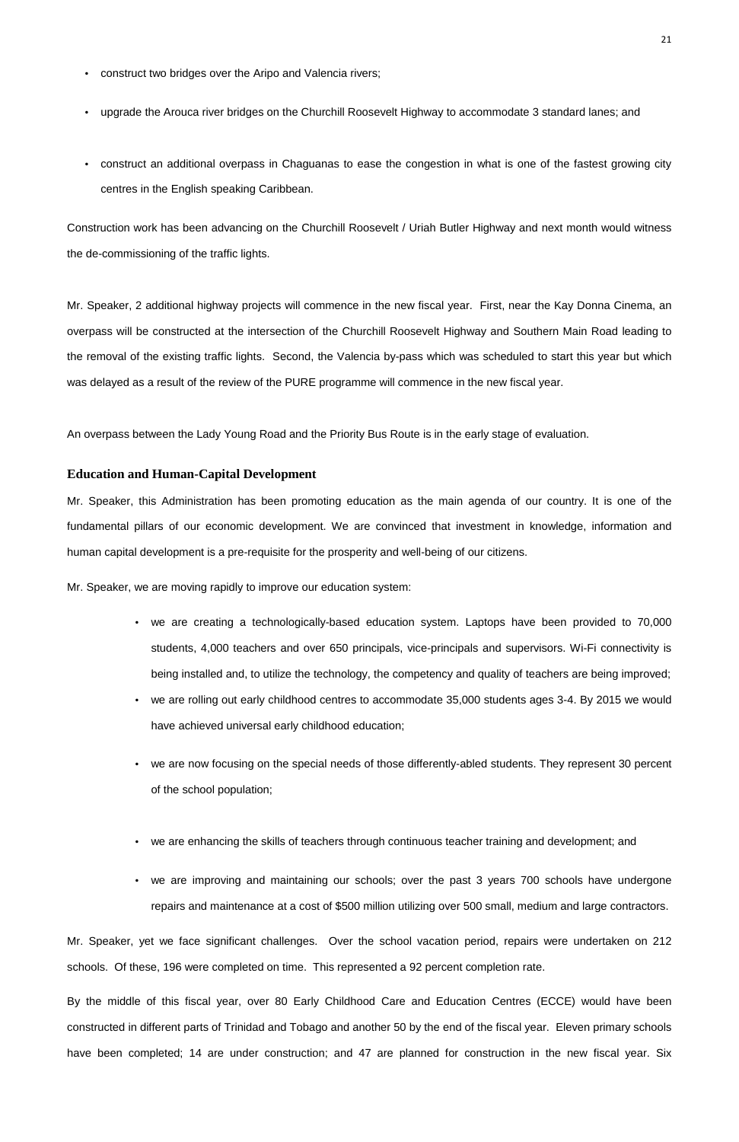- construct two bridges over the Aripo and Valencia rivers;
- upgrade the Arouca river bridges on the Churchill Roosevelt Highway to accommodate 3 standard lanes; and
- construct an additional overpass in Chaguanas to ease the congestion in what is one of the fastest growing city centres in the English speaking Caribbean.

Construction work has been advancing on the Churchill Roosevelt / Uriah Butler Highway and next month would witness the de-commissioning of the traffic lights.

Mr. Speaker, 2 additional highway projects will commence in the new fiscal year. First, near the Kay Donna Cinema, an overpass will be constructed at the intersection of the Churchill Roosevelt Highway and Southern Main Road leading to the removal of the existing traffic lights. Second, the Valencia by-pass which was scheduled to start this year but which was delayed as a result of the review of the PURE programme will commence in the new fiscal year.

An overpass between the Lady Young Road and the Priority Bus Route is in the early stage of evaluation.

## **Education and Human-Capital Development**

Mr. Speaker, this Administration has been promoting education as the main agenda of our country. It is one of the fundamental pillars of our economic development. We are convinced that investment in knowledge, information and human capital development is a pre-requisite for the prosperity and well-being of our citizens.

Mr. Speaker, we are moving rapidly to improve our education system:

- we are creating a technologically-based education system. Laptops have been provided to 70,000 students, 4,000 teachers and over 650 principals, vice-principals and supervisors. Wi-Fi connectivity is being installed and, to utilize the technology, the competency and quality of teachers are being improved;
- we are rolling out early childhood centres to accommodate 35,000 students ages 3-4. By 2015 we would have achieved universal early childhood education;
- we are now focusing on the special needs of those differently-abled students. They represent 30 percent of the school population;

- we are enhancing the skills of teachers through continuous teacher training and development; and
- we are improving and maintaining our schools; over the past 3 years 700 schools have undergone

repairs and maintenance at a cost of \$500 million utilizing over 500 small, medium and large contractors.

Mr. Speaker, yet we face significant challenges. Over the school vacation period, repairs were undertaken on 212 schools. Of these, 196 were completed on time. This represented a 92 percent completion rate.

By the middle of this fiscal year, over 80 Early Childhood Care and Education Centres (ECCE) would have been constructed in different parts of Trinidad and Tobago and another 50 by the end of the fiscal year. Eleven primary schools have been completed; 14 are under construction; and 47 are planned for construction in the new fiscal year. Six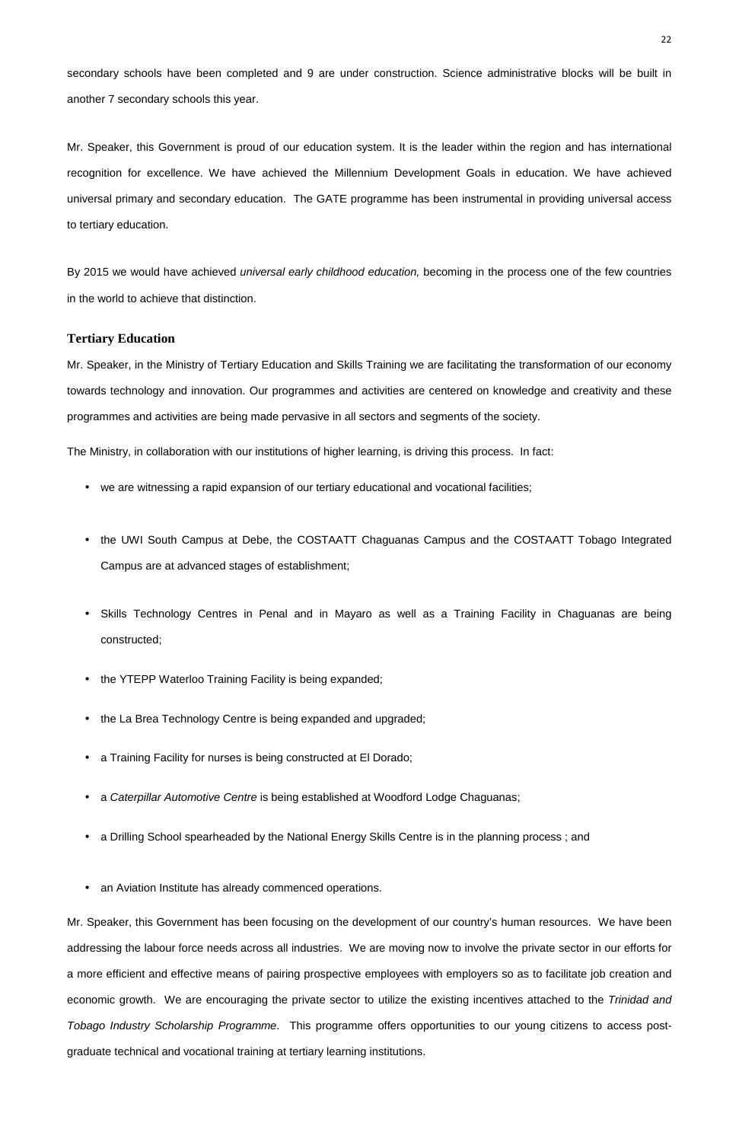- 
- an Aviation Institute has already commenced operations.

secondary schools have been completed and 9 are under construction. Science administrative blocks will be built in another 7 secondary schools this year.

Mr. Speaker, this Government is proud of our education system. It is the leader within the region and has international recognition for excellence. We have achieved the Millennium Development Goals in education. We have achieved universal primary and secondary education. The GATE programme has been instrumental in providing universal access to tertiary education.

By 2015 we would have achieved *universal early childhood education*, becoming in the process one of the few countries in the world to achieve that distinction.

### **Tertiary Education**

Mr. Speaker, in the Ministry of Tertiary Education and Skills Training we are facilitating the transformation of our economy towards technology and innovation. Our programmes and activities are centered on knowledge and creativity and these programmes and activities are being made pervasive in all sectors and segments of the society.

- we are witnessing a rapid expansion of our tertiary educational and vocational facilities;
- the UWI South Campus at Debe, the COSTAATT Chaguanas Campus and the COSTAATT Tobago Integrated Campus are at advanced stages of establishment;
- Skills Technology Centres in Penal and in Mayaro as well as a Training Facility in Chaguanas are being constructed;
- the YTEPP Waterloo Training Facility is being expanded;
- the La Brea Technology Centre is being expanded and upgraded;
- a Training Facility for nurses is being constructed at El Dorado;
- a Caterpillar Automotive Centre is being established at Woodford Lodge Chaguanas;
- a Drilling School spearheaded by the National Energy Skills Centre is in the planning process ; and

The Ministry, in collaboration with our institutions of higher learning, is driving this process. In fact:

Mr. Speaker, this Government has been focusing on the development of our country's human resources. We have been addressing the labour force needs across all industries. We are moving now to involve the private sector in our efforts for a more efficient and effective means of pairing prospective employees with employers so as to facilitate job creation and economic growth. We are encouraging the private sector to utilize the existing incentives attached to the Trinidad and Tobago Industry Scholarship Programme. This programme offers opportunities to our young citizens to access postgraduate technical and vocational training at tertiary learning institutions.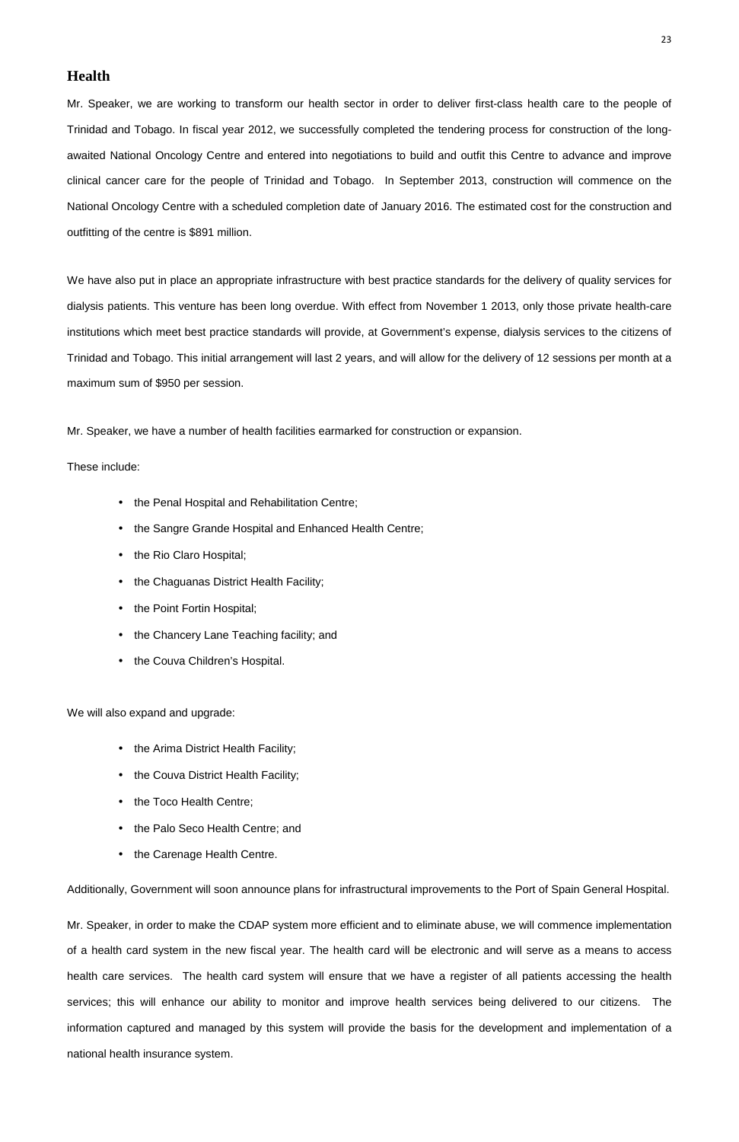## • the Carenage Health Centre.

# **Health**

Mr. Speaker, we are working to transform our health sector in order to deliver first-class health care to the people of Trinidad and Tobago. In fiscal year 2012, we successfully completed the tendering process for construction of the longawaited National Oncology Centre and entered into negotiations to build and outfit this Centre to advance and improve clinical cancer care for the people of Trinidad and Tobago. In September 2013, construction will commence on the National Oncology Centre with a scheduled completion date of January 2016. The estimated cost for the construction and outfitting of the centre is \$891 million.

- the Arima District Health Facility;
- the Couva District Health Facility;
- the Toco Health Centre;
- the Palo Seco Health Centre; and

We have also put in place an appropriate infrastructure with best practice standards for the delivery of quality services for dialysis patients. This venture has been long overdue. With effect from November 1 2013, only those private health-care institutions which meet best practice standards will provide, at Government's expense, dialysis services to the citizens of Trinidad and Tobago. This initial arrangement will last 2 years, and will allow for the delivery of 12 sessions per month at a maximum sum of \$950 per session.

Mr. Speaker, we have a number of health facilities earmarked for construction or expansion.

These include:

- the Penal Hospital and Rehabilitation Centre;
- the Sangre Grande Hospital and Enhanced Health Centre;
- the Rio Claro Hospital;
- the Chaguanas District Health Facility;
- the Point Fortin Hospital;
- the Chancery Lane Teaching facility; and
- the Couva Children's Hospital.

We will also expand and upgrade:

Additionally, Government will soon announce plans for infrastructural improvements to the Port of Spain General Hospital.

Mr. Speaker, in order to make the CDAP system more efficient and to eliminate abuse, we will commence implementation of a health card system in the new fiscal year. The health card will be electronic and will serve as a means to access health care services. The health card system will ensure that we have a register of all patients accessing the health services; this will enhance our ability to monitor and improve health services being delivered to our citizens. The information captured and managed by this system will provide the basis for the development and implementation of a national health insurance system.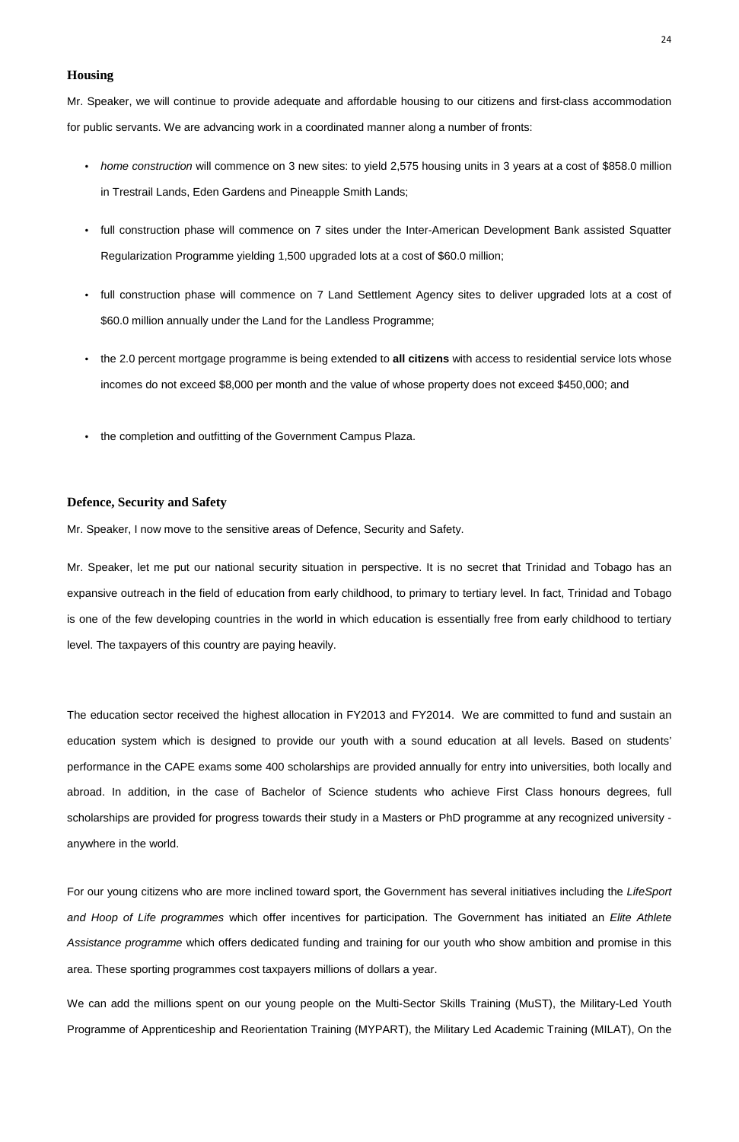## **Housing**

Mr. Speaker, we will continue to provide adequate and affordable housing to our citizens and first-class accommodation for public servants. We are advancing work in a coordinated manner along a number of fronts:

- home construction will commence on 3 new sites: to yield 2,575 housing units in 3 years at a cost of \$858.0 million in Trestrail Lands, Eden Gardens and Pineapple Smith Lands;
- full construction phase will commence on 7 sites under the Inter-American Development Bank assisted Squatter Regularization Programme yielding 1,500 upgraded lots at a cost of \$60.0 million;
- full construction phase will commence on 7 Land Settlement Agency sites to deliver upgraded lots at a cost of \$60.0 million annually under the Land for the Landless Programme;
- the 2.0 percent mortgage programme is being extended to **all citizens** with access to residential service lots whose incomes do not exceed \$8,000 per month and the value of whose property does not exceed \$450,000; and
- the completion and outfitting of the Government Campus Plaza.

## **Defence, Security and Safety**

Mr. Speaker, I now move to the sensitive areas of Defence, Security and Safety.

Mr. Speaker, let me put our national security situation in perspective. It is no secret that Trinidad and Tobago has an expansive outreach in the field of education from early childhood, to primary to tertiary level. In fact, Trinidad and Tobago is one of the few developing countries in the world in which education is essentially free from early childhood to tertiary level. The taxpayers of this country are paying heavily.

The education sector received the highest allocation in FY2013 and FY2014. We are committed to fund and sustain an education system which is designed to provide our youth with a sound education at all levels. Based on students' performance in the CAPE exams some 400 scholarships are provided annually for entry into universities, both locally and abroad. In addition, in the case of Bachelor of Science students who achieve First Class honours degrees, full scholarships are provided for progress towards their study in a Masters or PhD programme at any recognized university -

For our young citizens who are more inclined toward sport, the Government has several initiatives including the LifeSport

and Hoop of Life programmes which offer incentives for participation. The Government has initiated an Elite Athlete

Assistance programme which offers dedicated funding and training for our youth who show ambition and promise in this

area. These sporting programmes cost taxpayers millions of dollars a year.

We can add the millions spent on our young people on the Multi-Sector Skills Training (MuST), the Military-Led Youth

Programme of Apprenticeship and Reorientation Training (MYPART), the Military Led Academic Training (MILAT), On the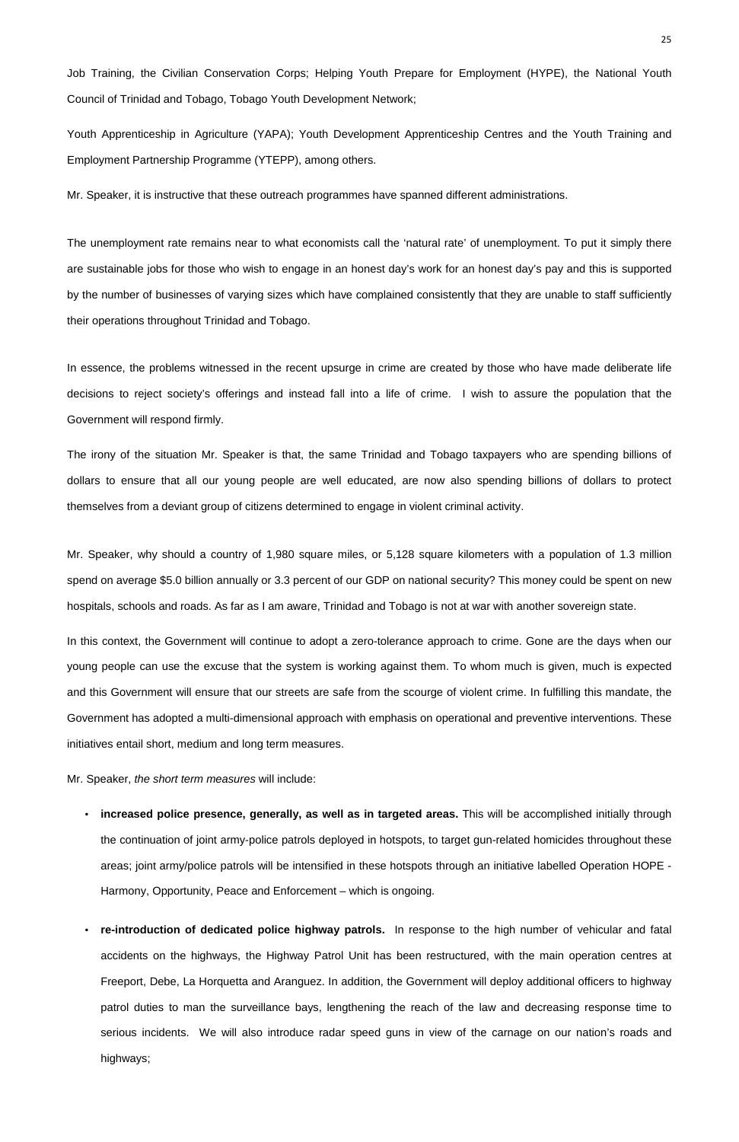Job Training, the Civilian Conservation Corps; Helping Youth Prepare for Employment (HYPE), the National Youth Council of Trinidad and Tobago, Tobago Youth Development Network;

Youth Apprenticeship in Agriculture (YAPA); Youth Development Apprenticeship Centres and the Youth Training and Employment Partnership Programme (YTEPP), among others.

Mr. Speaker, it is instructive that these outreach programmes have spanned different administrations.

The unemployment rate remains near to what economists call the 'natural rate' of unemployment. To put it simply there are sustainable jobs for those who wish to engage in an honest day's work for an honest day's pay and this is supported by the number of businesses of varying sizes which have complained consistently that they are unable to staff sufficiently their operations throughout Trinidad and Tobago.

In essence, the problems witnessed in the recent upsurge in crime are created by those who have made deliberate life decisions to reject society's offerings and instead fall into a life of crime. I wish to assure the population that the Government will respond firmly.

The irony of the situation Mr. Speaker is that, the same Trinidad and Tobago taxpayers who are spending billions of dollars to ensure that all our young people are well educated, are now also spending billions of dollars to protect themselves from a deviant group of citizens determined to engage in violent criminal activity.

Mr. Speaker, why should a country of 1,980 square miles, or 5,128 square kilometers with a population of 1.3 million spend on average \$5.0 billion annually or 3.3 percent of our GDP on national security? This money could be spent on new hospitals, schools and roads. As far as I am aware, Trinidad and Tobago is not at war with another sovereign state.

In this context, the Government will continue to adopt a zero-tolerance approach to crime. Gone are the days when our young people can use the excuse that the system is working against them. To whom much is given, much is expected and this Government will ensure that our streets are safe from the scourge of violent crime. In fulfilling this mandate, the Government has adopted a multi-dimensional approach with emphasis on operational and preventive interventions. These initiatives entail short, medium and long term measures.

Mr. Speaker, the short term measures will include:

• **increased police presence, generally, as well as in targeted areas.** This will be accomplished initially through

the continuation of joint army-police patrols deployed in hotspots, to target gun-related homicides throughout these

areas; joint army/police patrols will be intensified in these hotspots through an initiative labelled Operation HOPE -

Harmony, Opportunity, Peace and Enforcement – which is ongoing.

• **re-introduction of dedicated police highway patrols.** In response to the high number of vehicular and fatal accidents on the highways, the Highway Patrol Unit has been restructured, with the main operation centres at Freeport, Debe, La Horquetta and Aranguez. In addition, the Government will deploy additional officers to highway patrol duties to man the surveillance bays, lengthening the reach of the law and decreasing response time to serious incidents. We will also introduce radar speed guns in view of the carnage on our nation's roads and highways;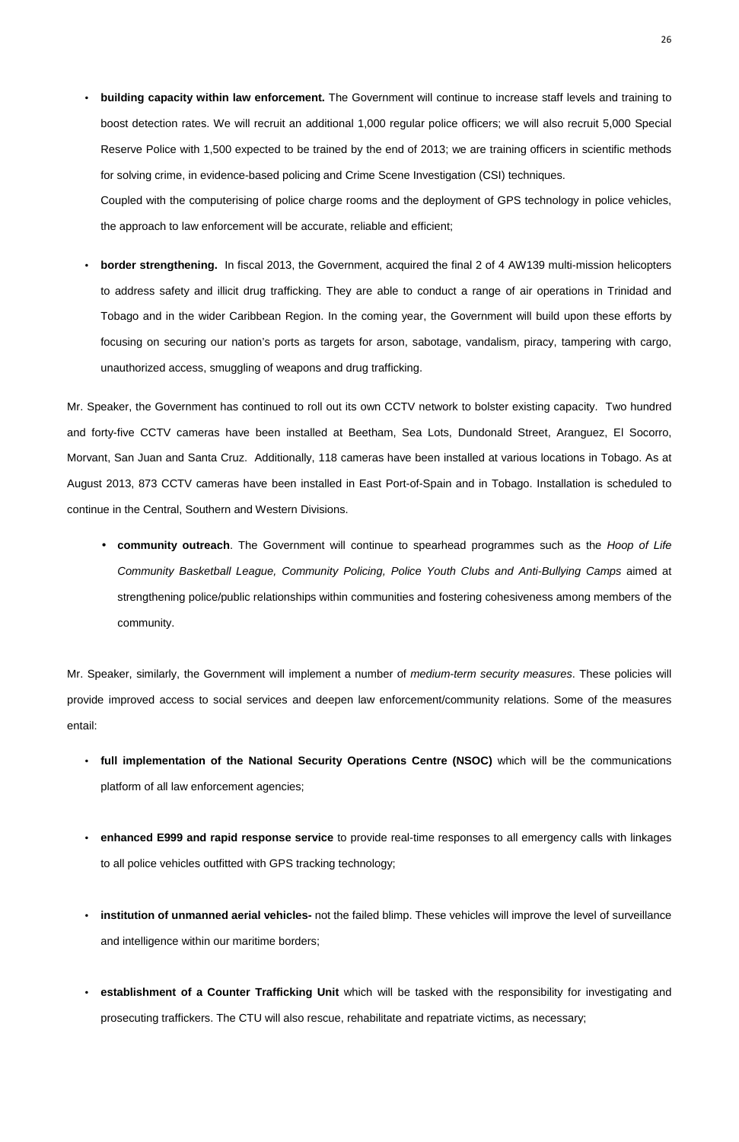- **building capacity within law enforcement.** The Government will continue to increase staff levels and training to boost detection rates. We will recruit an additional 1,000 regular police officers; we will also recruit 5,000 Special Reserve Police with 1,500 expected to be trained by the end of 2013; we are training officers in scientific methods for solving crime, in evidence-based policing and Crime Scene Investigation (CSI) techniques. Coupled with the computerising of police charge rooms and the deployment of GPS technology in police vehicles, the approach to law enforcement will be accurate, reliable and efficient;
- **border strengthening.** In fiscal 2013, the Government, acquired the final 2 of 4 AW139 multi-mission helicopters to address safety and illicit drug trafficking. They are able to conduct a range of air operations in Trinidad and Tobago and in the wider Caribbean Region. In the coming year, the Government will build upon these efforts by focusing on securing our nation's ports as targets for arson, sabotage, vandalism, piracy, tampering with cargo, unauthorized access, smuggling of weapons and drug trafficking.

Mr. Speaker, similarly, the Government will implement a number of *medium-term security measures*. These policies will provide improved access to social services and deepen law enforcement/community relations. Some of the measures entail:

Mr. Speaker, the Government has continued to roll out its own CCTV network to bolster existing capacity. Two hundred and forty-five CCTV cameras have been installed at Beetham, Sea Lots, Dundonald Street, Aranguez, El Socorro, Morvant, San Juan and Santa Cruz. Additionally, 118 cameras have been installed at various locations in Tobago. As at August 2013, 873 CCTV cameras have been installed in East Port-of-Spain and in Tobago. Installation is scheduled to continue in the Central, Southern and Western Divisions.

• **community outreach**. The Government will continue to spearhead programmes such as the Hoop of Life Community Basketball League, Community Policing, Police Youth Clubs and Anti-Bullying Camps aimed at strengthening police/public relationships within communities and fostering cohesiveness among members of the community.

- **full implementation of the National Security Operations Centre (NSOC)** which will be the communications platform of all law enforcement agencies;
- **enhanced E999 and rapid response service** to provide real-time responses to all emergency calls with linkages

to all police vehicles outfitted with GPS tracking technology;

• **institution of unmanned aerial vehicles-** not the failed blimp. These vehicles will improve the level of surveillance

and intelligence within our maritime borders;

• **establishment of a Counter Trafficking Unit** which will be tasked with the responsibility for investigating and

prosecuting traffickers. The CTU will also rescue, rehabilitate and repatriate victims, as necessary;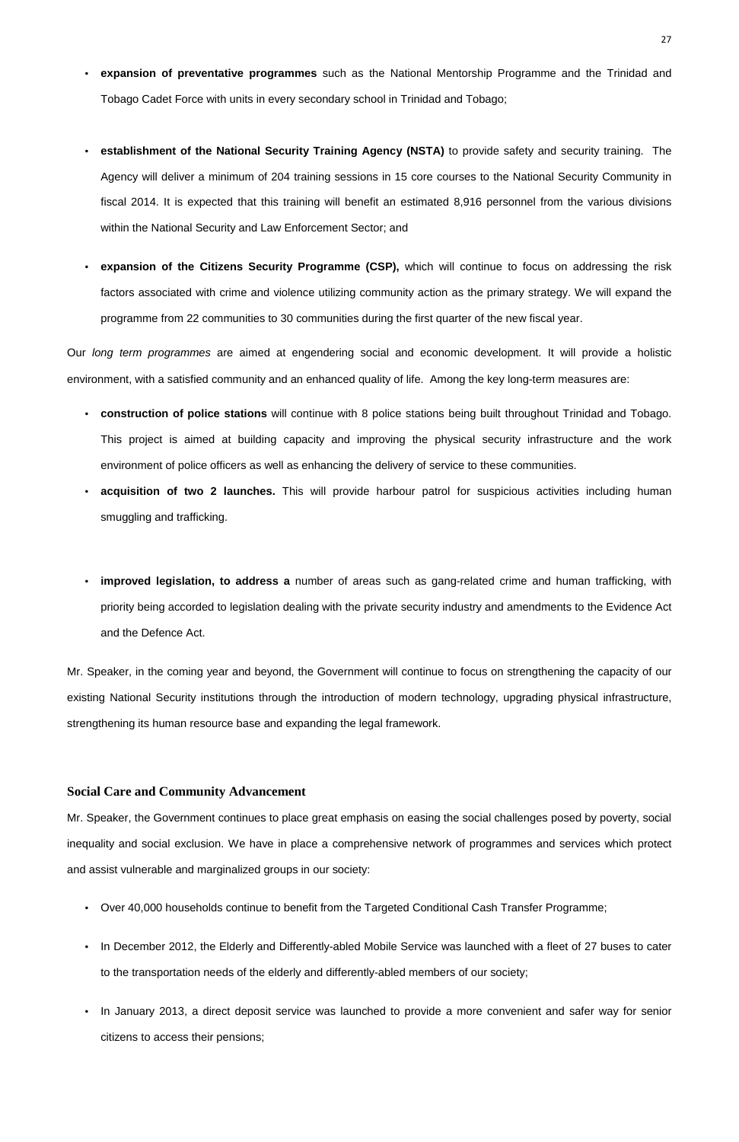- **expansion of preventative programmes** such as the National Mentorship Programme and the Trinidad and Tobago Cadet Force with units in every secondary school in Trinidad and Tobago;
- **establishment of the National Security Training Agency (NSTA)** to provide safety and security training. The Agency will deliver a minimum of 204 training sessions in 15 core courses to the National Security Community in fiscal 2014. It is expected that this training will benefit an estimated 8,916 personnel from the various divisions within the National Security and Law Enforcement Sector; and
- **expansion of the Citizens Security Programme (CSP),** which will continue to focus on addressing the risk factors associated with crime and violence utilizing community action as the primary strategy. We will expand the programme from 22 communities to 30 communities during the first quarter of the new fiscal year.

Our long term programmes are aimed at engendering social and economic development. It will provide a holistic environment, with a satisfied community and an enhanced quality of life. Among the key long-term measures are:

- **construction of police stations** will continue with 8 police stations being built throughout Trinidad and Tobago. This project is aimed at building capacity and improving the physical security infrastructure and the work environment of police officers as well as enhancing the delivery of service to these communities.
- **acquisition of two 2 launches.** This will provide harbour patrol for suspicious activities including human smuggling and trafficking.
- **improved legislation, to address a** number of areas such as gang-related crime and human trafficking, with priority being accorded to legislation dealing with the private security industry and amendments to the Evidence Act and the Defence Act.

Mr. Speaker, in the coming year and beyond, the Government will continue to focus on strengthening the capacity of our existing National Security institutions through the introduction of modern technology, upgrading physical infrastructure, strengthening its human resource base and expanding the legal framework.

## **Social Care and Community Advancement**

Mr. Speaker, the Government continues to place great emphasis on easing the social challenges posed by poverty, social inequality and social exclusion. We have in place a comprehensive network of programmes and services which protect

and assist vulnerable and marginalized groups in our society:

- Over 40,000 households continue to benefit from the Targeted Conditional Cash Transfer Programme;
- In December 2012, the Elderly and Differently-abled Mobile Service was launched with a fleet of 27 buses to cater

to the transportation needs of the elderly and differently-abled members of our society;

• In January 2013, a direct deposit service was launched to provide a more convenient and safer way for senior citizens to access their pensions;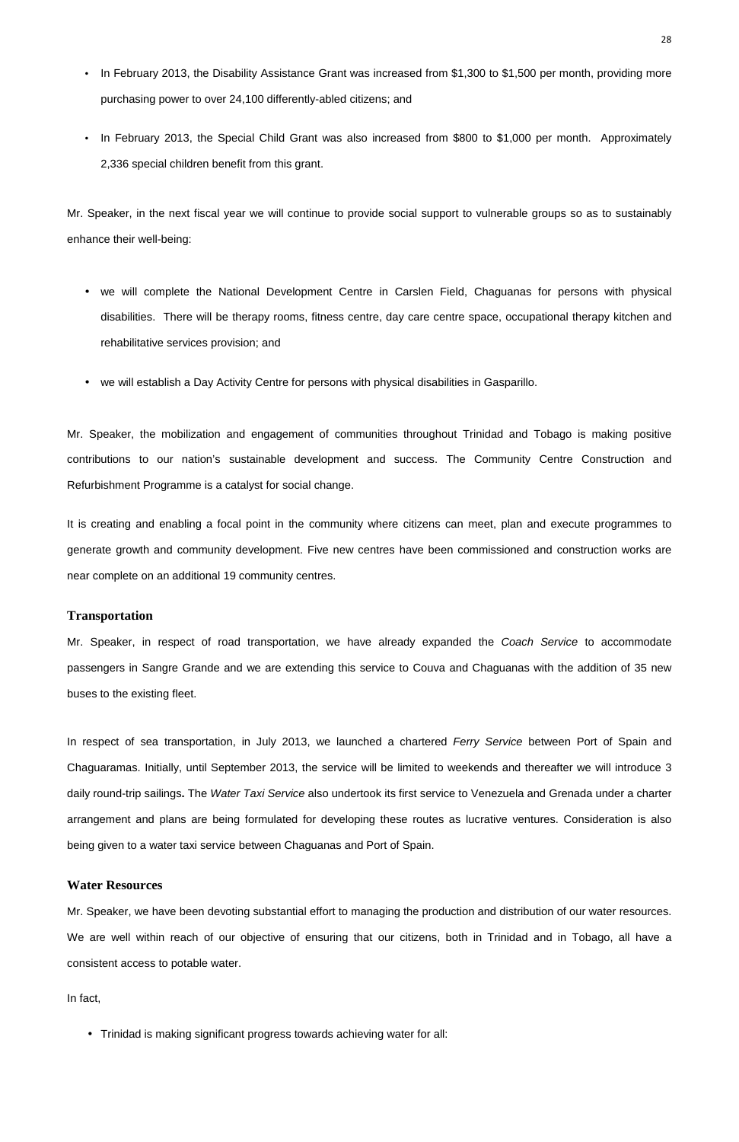- In February 2013, the Disability Assistance Grant was increased from \$1,300 to \$1,500 per month, providing more purchasing power to over 24,100 differently-abled citizens; and
- In February 2013, the Special Child Grant was also increased from \$800 to \$1,000 per month. Approximately 2,336 special children benefit from this grant.

Mr. Speaker, in the next fiscal year we will continue to provide social support to vulnerable groups so as to sustainably enhance their well-being:

- we will complete the National Development Centre in Carslen Field, Chaguanas for persons with physical disabilities. There will be therapy rooms, fitness centre, day care centre space, occupational therapy kitchen and rehabilitative services provision; and
- we will establish a Day Activity Centre for persons with physical disabilities in Gasparillo.

Mr. Speaker, in respect of road transportation, we have already expanded the Coach Service to accommodate passengers in Sangre Grande and we are extending this service to Couva and Chaguanas with the addition of 35 new buses to the existing fleet.

Mr. Speaker, the mobilization and engagement of communities throughout Trinidad and Tobago is making positive contributions to our nation's sustainable development and success. The Community Centre Construction and Refurbishment Programme is a catalyst for social change.

In respect of sea transportation, in July 2013, we launched a chartered Ferry Service between Port of Spain and Chaguaramas. Initially, until September 2013, the service will be limited to weekends and thereafter we will introduce 3 daily round-trip sailings**.** The Water Taxi Service also undertook its first service to Venezuela and Grenada under a charter arrangement and plans are being formulated for developing these routes as lucrative ventures. Consideration is also

It is creating and enabling a focal point in the community where citizens can meet, plan and execute programmes to generate growth and community development. Five new centres have been commissioned and construction works are near complete on an additional 19 community centres.

#### **Transportation**

being given to a water taxi service between Chaguanas and Port of Spain.

# **Water Resources**

Mr. Speaker, we have been devoting substantial effort to managing the production and distribution of our water resources.

We are well within reach of our objective of ensuring that our citizens, both in Trinidad and in Tobago, all have a consistent access to potable water.

In fact,

• Trinidad is making significant progress towards achieving water for all: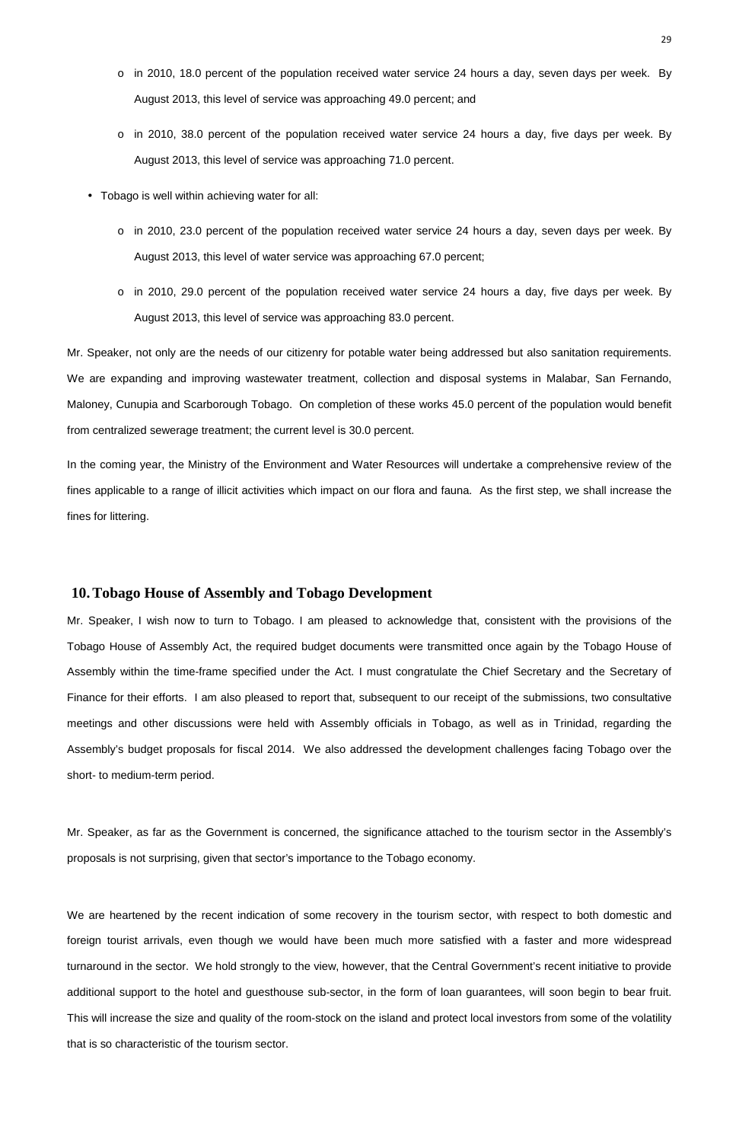- o in 2010, 18.0 percent of the population received water service 24 hours a day, seven days per week. By August 2013, this level of service was approaching 49.0 percent; and
- o in 2010, 38.0 percent of the population received water service 24 hours a day, five days per week. By August 2013, this level of service was approaching 71.0 percent.
- Tobago is well within achieving water for all:
	- $\circ$  in 2010, 23.0 percent of the population received water service 24 hours a day, seven days per week. By August 2013, this level of water service was approaching 67.0 percent;
	- o in 2010, 29.0 percent of the population received water service 24 hours a day, five days per week. By August 2013, this level of service was approaching 83.0 percent.

Mr. Speaker, not only are the needs of our citizenry for potable water being addressed but also sanitation requirements. We are expanding and improving wastewater treatment, collection and disposal systems in Malabar, San Fernando, Maloney, Cunupia and Scarborough Tobago. On completion of these works 45.0 percent of the population would benefit from centralized sewerage treatment; the current level is 30.0 percent.

In the coming year, the Ministry of the Environment and Water Resources will undertake a comprehensive review of the fines applicable to a range of illicit activities which impact on our flora and fauna. As the first step, we shall increase the fines for littering.

## **10.Tobago House of Assembly and Tobago Development**

Mr. Speaker, I wish now to turn to Tobago. I am pleased to acknowledge that, consistent with the provisions of the Tobago House of Assembly Act, the required budget documents were transmitted once again by the Tobago House of Assembly within the time-frame specified under the Act. I must congratulate the Chief Secretary and the Secretary of Finance for their efforts. I am also pleased to report that, subsequent to our receipt of the submissions, two consultative meetings and other discussions were held with Assembly officials in Tobago, as well as in Trinidad, regarding the Assembly's budget proposals for fiscal 2014. We also addressed the development challenges facing Tobago over the short- to medium-term period.

Mr. Speaker, as far as the Government is concerned, the significance attached to the tourism sector in the Assembly's

proposals is not surprising, given that sector's importance to the Tobago economy.

We are heartened by the recent indication of some recovery in the tourism sector, with respect to both domestic and

foreign tourist arrivals, even though we would have been much more satisfied with a faster and more widespread

turnaround in the sector. We hold strongly to the view, however, that the Central Government's recent initiative to provide

additional support to the hotel and guesthouse sub-sector, in the form of loan guarantees, will soon begin to bear fruit.

This will increase the size and quality of the room-stock on the island and protect local investors from some of the volatility

that is so characteristic of the tourism sector.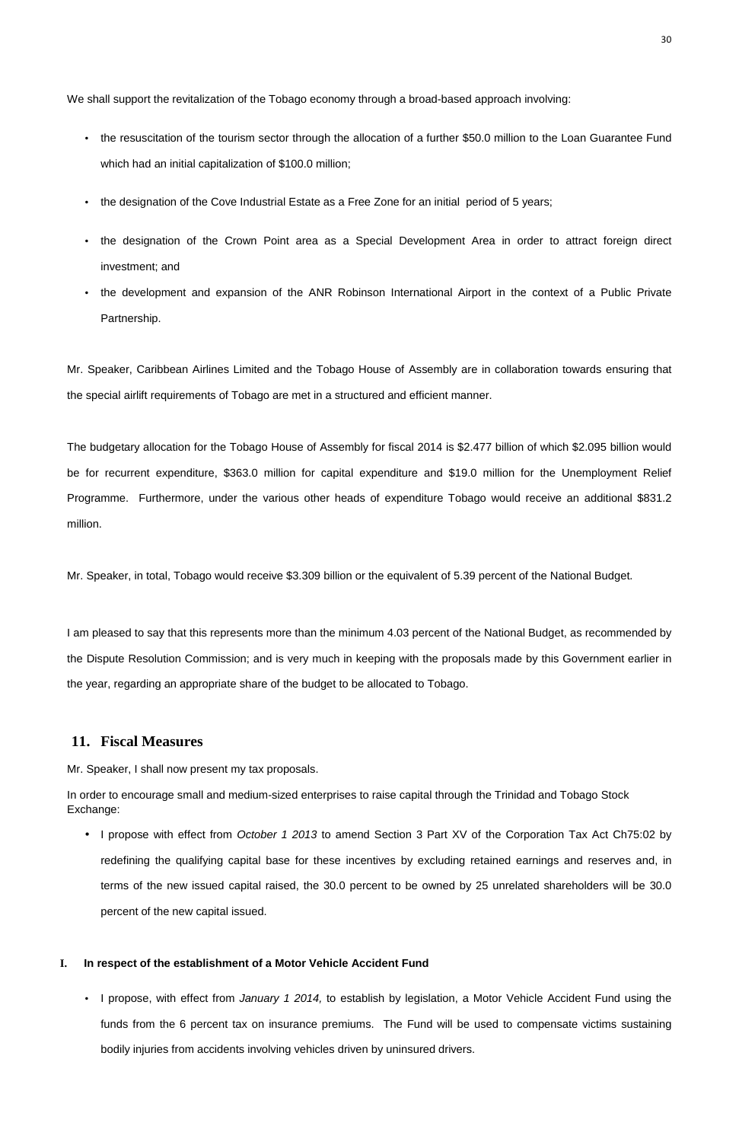We shall support the revitalization of the Tobago economy through a broad-based approach involving:

- the resuscitation of the tourism sector through the allocation of a further \$50.0 million to the Loan Guarantee Fund which had an initial capitalization of \$100.0 million;
- the designation of the Cove Industrial Estate as a Free Zone for an initial period of 5 years;
- the designation of the Crown Point area as a Special Development Area in order to attract foreign direct investment; and
- the development and expansion of the ANR Robinson International Airport in the context of a Public Private Partnership.

Mr. Speaker, Caribbean Airlines Limited and the Tobago House of Assembly are in collaboration towards ensuring that the special airlift requirements of Tobago are met in a structured and efficient manner.

The budgetary allocation for the Tobago House of Assembly for fiscal 2014 is \$2.477 billion of which \$2.095 billion would be for recurrent expenditure, \$363.0 million for capital expenditure and \$19.0 million for the Unemployment Relief Programme. Furthermore, under the various other heads of expenditure Tobago would receive an additional \$831.2 million.

Mr. Speaker, in total, Tobago would receive \$3.309 billion or the equivalent of 5.39 percent of the National Budget.

I propose, with effect from January 1 2014, to establish by legislation, a Motor Vehicle Accident Fund using the funds from the 6 percent tax on insurance premiums. The Fund will be used to compensate victims sustaining bodily injuries from accidents involving vehicles driven by uninsured drivers.

I am pleased to say that this represents more than the minimum 4.03 percent of the National Budget, as recommended by the Dispute Resolution Commission; and is very much in keeping with the proposals made by this Government earlier in the year, regarding an appropriate share of the budget to be allocated to Tobago.

# **11. Fiscal Measures**

Mr. Speaker, I shall now present my tax proposals.

In order to encourage small and medium-sized enterprises to raise capital through the Trinidad and Tobago Stock Exchange:

• I propose with effect from October 1 2013 to amend Section 3 Part XV of the Corporation Tax Act Ch75:02 by

redefining the qualifying capital base for these incentives by excluding retained earnings and reserves and, in

terms of the new issued capital raised, the 30.0 percent to be owned by 25 unrelated shareholders will be 30.0 percent of the new capital issued.

# **I. In respect of the establishment of a Motor Vehicle Accident Fund**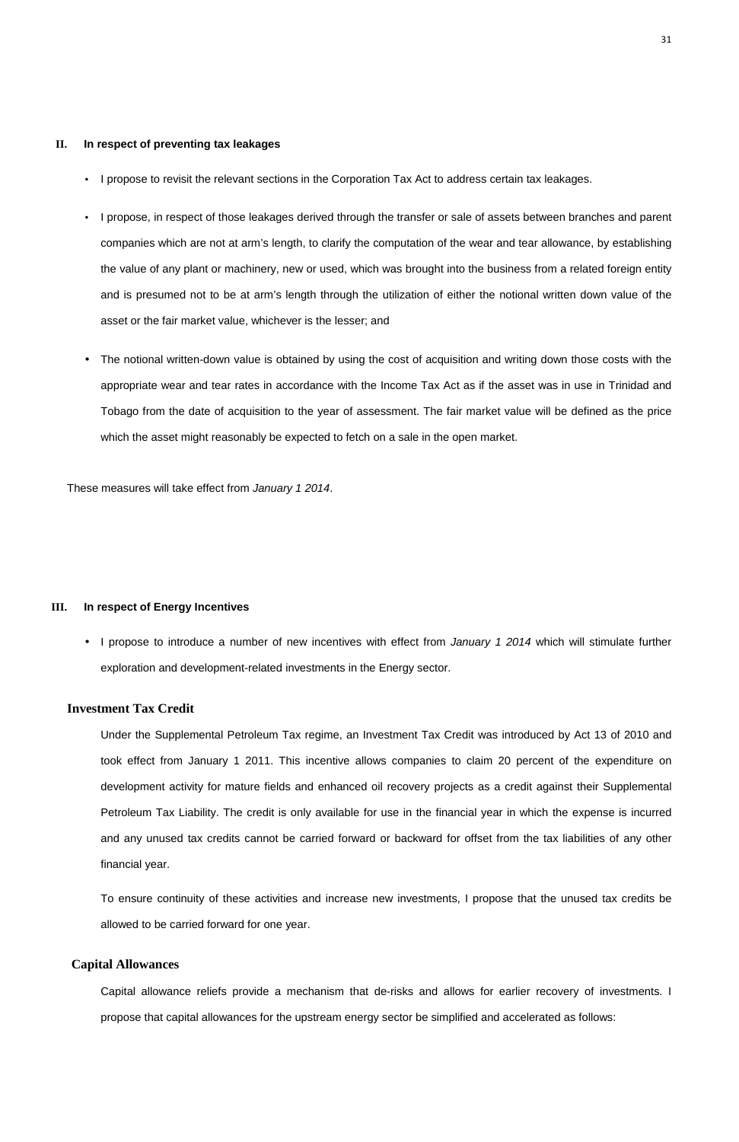### **II. In respect of preventing tax leakages**

- I propose to revisit the relevant sections in the Corporation Tax Act to address certain tax leakages.
- I propose, in respect of those leakages derived through the transfer or sale of assets between branches and parent companies which are not at arm's length, to clarify the computation of the wear and tear allowance, by establishing the value of any plant or machinery, new or used, which was brought into the business from a related foreign entity and is presumed not to be at arm's length through the utilization of either the notional written down value of the asset or the fair market value, whichever is the lesser; and
- The notional written-down value is obtained by using the cost of acquisition and writing down those costs with the appropriate wear and tear rates in accordance with the Income Tax Act as if the asset was in use in Trinidad and Tobago from the date of acquisition to the year of assessment. The fair market value will be defined as the price which the asset might reasonably be expected to fetch on a sale in the open market.

• I propose to introduce a number of new incentives with effect from January 1 2014 which will stimulate further exploration and development-related investments in the Energy sector.

These measures will take effect from January 1 2014.

### **III. In respect of Energy Incentives**

## **Investment Tax Credit**

Under the Supplemental Petroleum Tax regime, an Investment Tax Credit was introduced by Act 13 of 2010 and took effect from January 1 2011. This incentive allows companies to claim 20 percent of the expenditure on development activity for mature fields and enhanced oil recovery projects as a credit against their Supplemental Petroleum Tax Liability. The credit is only available for use in the financial year in which the expense is incurred and any unused tax credits cannot be carried forward or backward for offset from the tax liabilities of any other

financial year.

To ensure continuity of these activities and increase new investments, I propose that the unused tax credits be allowed to be carried forward for one year.

# **Capital Allowances**

Capital allowance reliefs provide a mechanism that de-risks and allows for earlier recovery of investments. I propose that capital allowances for the upstream energy sector be simplified and accelerated as follows: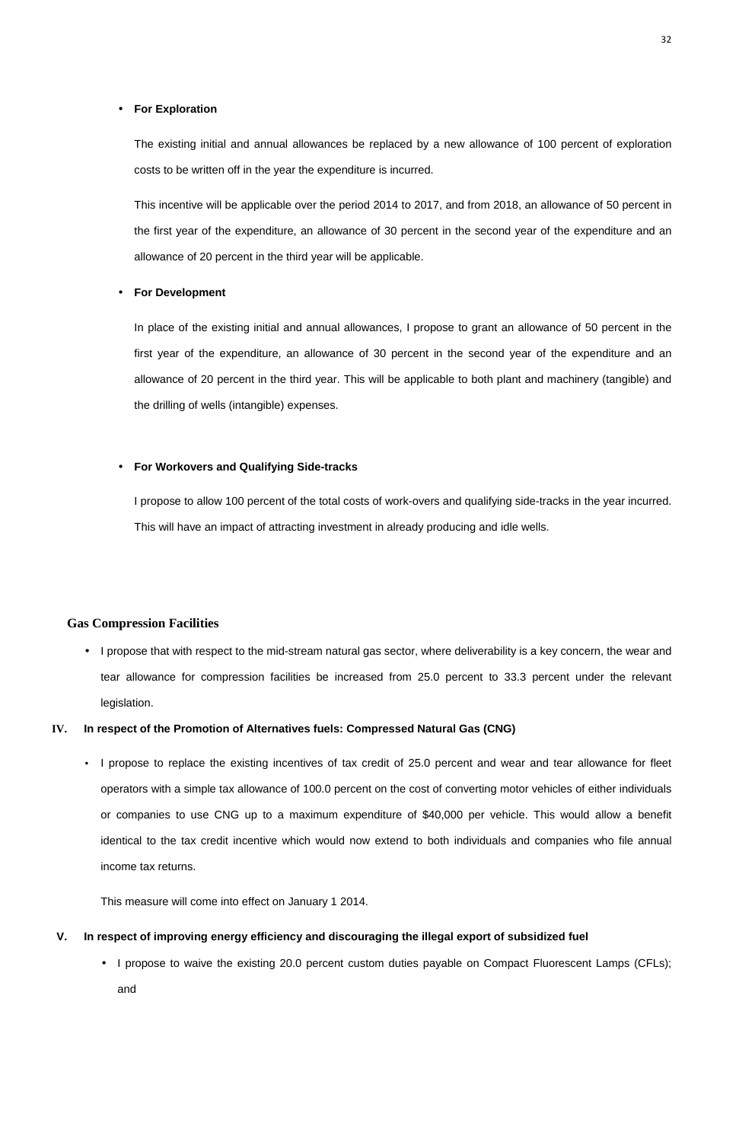### • **For Exploration**

The existing initial and annual allowances be replaced by a new allowance of 100 percent of exploration costs to be written off in the year the expenditure is incurred.

This incentive will be applicable over the period 2014 to 2017, and from 2018, an allowance of 50 percent in the first year of the expenditure, an allowance of 30 percent in the second year of the expenditure and an allowance of 20 percent in the third year will be applicable.

#### • **For Development**

In place of the existing initial and annual allowances, I propose to grant an allowance of 50 percent in the first year of the expenditure, an allowance of 30 percent in the second year of the expenditure and an allowance of 20 percent in the third year. This will be applicable to both plant and machinery (tangible) and the drilling of wells (intangible) expenses.

## • **For Workovers and Qualifying Side-tracks**

- **V. In respect of improving energy efficiency and discouraging the illegal export of subsidized fuel** 
	- I propose to waive the existing 20.0 percent custom duties payable on Compact Fluorescent Lamps (CFLs);

I propose to allow 100 percent of the total costs of work-overs and qualifying side-tracks in the year incurred. This will have an impact of attracting investment in already producing and idle wells.

## **Gas Compression Facilities**

• I propose that with respect to the mid-stream natural gas sector, where deliverability is a key concern, the wear and tear allowance for compression facilities be increased from 25.0 percent to 33.3 percent under the relevant legislation.

### **IV. In respect of the Promotion of Alternatives fuels: Compressed Natural Gas (CNG)**

• I propose to replace the existing incentives of tax credit of 25.0 percent and wear and tear allowance for fleet operators with a simple tax allowance of 100.0 percent on the cost of converting motor vehicles of either individuals or companies to use CNG up to a maximum expenditure of \$40,000 per vehicle. This would allow a benefit

identical to the tax credit incentive which would now extend to both individuals and companies who file annual

income tax returns.

This measure will come into effect on January 1 2014.

and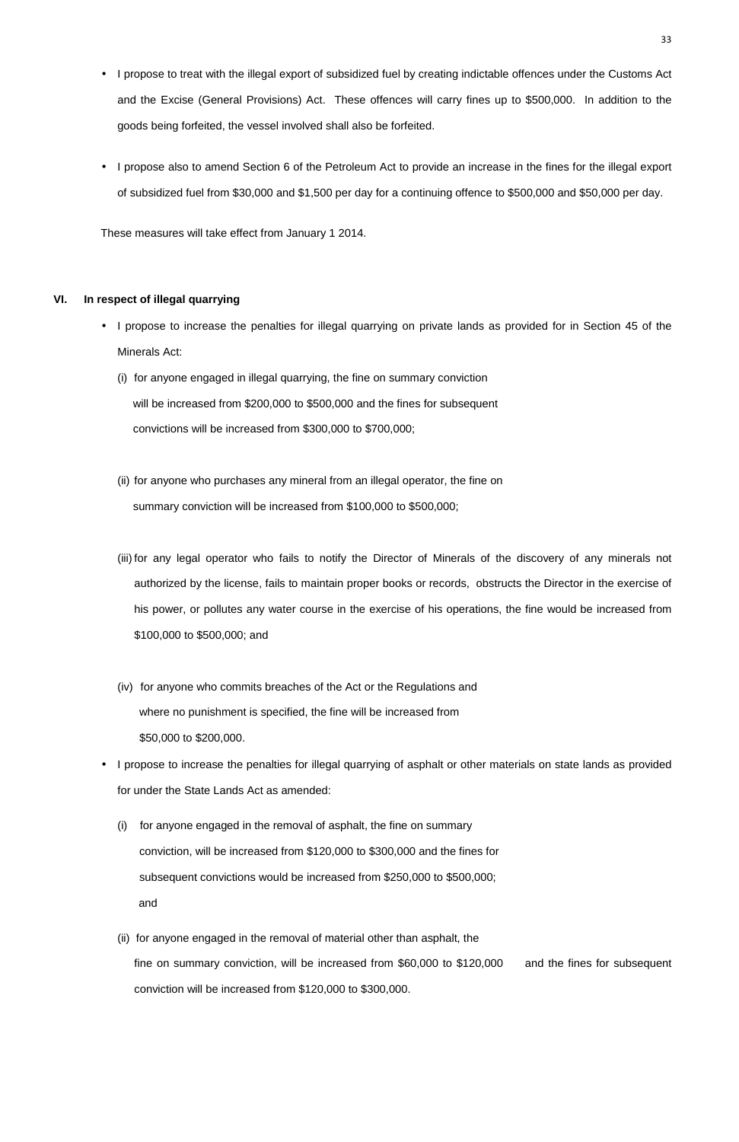- I propose to treat with the illegal export of subsidized fuel by creating indictable offences under the Customs Act and the Excise (General Provisions) Act. These offences will carry fines up to \$500,000. In addition to the goods being forfeited, the vessel involved shall also be forfeited.
- I propose also to amend Section 6 of the Petroleum Act to provide an increase in the fines for the illegal export of subsidized fuel from \$30,000 and \$1,500 per day for a continuing offence to \$500,000 and \$50,000 per day.

These measures will take effect from January 1 2014.

## **VI. In respect of illegal quarrying**

- I propose to increase the penalties for illegal quarrying on private lands as provided for in Section 45 of the Minerals Act:
	- (i) for anyone engaged in illegal quarrying, the fine on summary conviction will be increased from \$200,000 to \$500,000 and the fines for subsequent convictions will be increased from \$300,000 to \$700,000;
	- (ii) for anyone who purchases any mineral from an illegal operator, the fine on summary conviction will be increased from \$100,000 to \$500,000;
	- (iii) for any legal operator who fails to notify the Director of Minerals of the discovery of any minerals not authorized by the license, fails to maintain proper books or records, obstructs the Director in the exercise of his power, or pollutes any water course in the exercise of his operations, the fine would be increased from \$100,000 to \$500,000; and
	- (iv) for anyone who commits breaches of the Act or the Regulations and where no punishment is specified, the fine will be increased from \$50,000 to \$200,000.
- I propose to increase the penalties for illegal quarrying of asphalt or other materials on state lands as provided for under the State Lands Act as amended:
	- (i) for anyone engaged in the removal of asphalt, the fine on summary

conviction, will be increased from \$120,000 to \$300,000 and the fines for

subsequent convictions would be increased from \$250,000 to \$500,000;

and

(ii) for anyone engaged in the removal of material other than asphalt, the

fine on summary conviction, will be increased from \$60,000 to \$120,000 and the fines for subsequent

conviction will be increased from \$120,000 to \$300,000.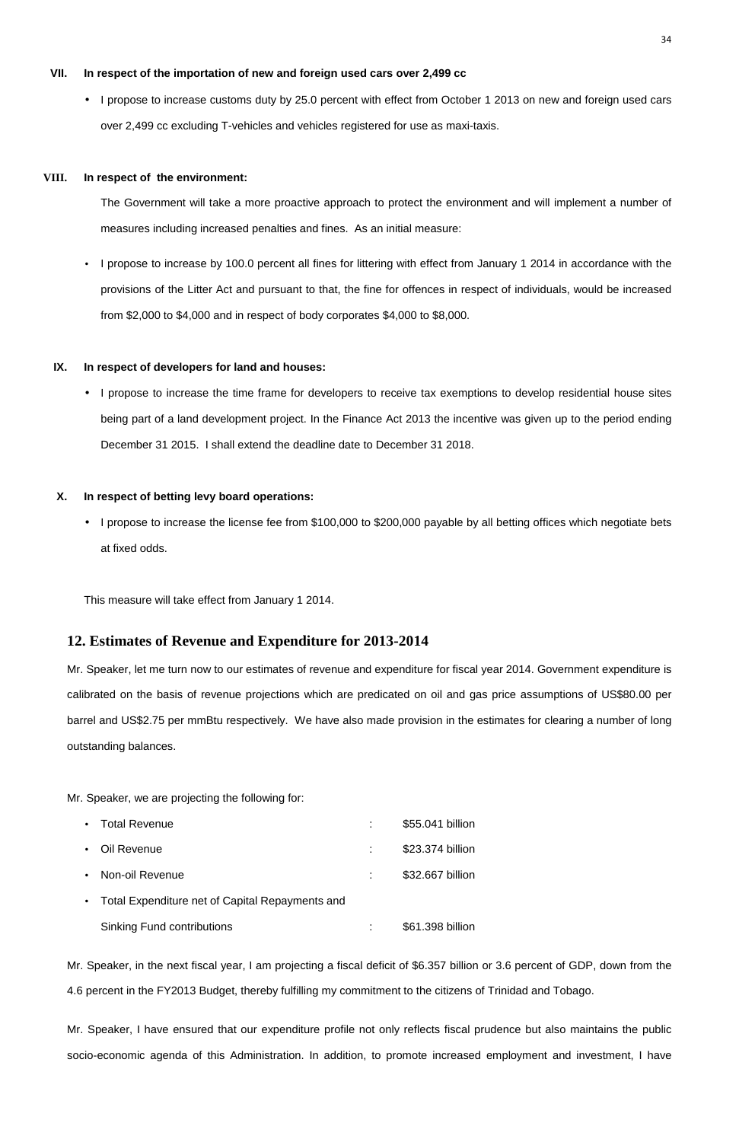- Oil Revenue : \$23.374 billion
- Proposition in the set of the set of the set of the set of the set of the set of the set of the set of the set of the set of the set of the set of the set of the set of the set of the set of the set of the set of the set o
- Total Expenditure net of Capital Repayments and
	- Sinking Fund contributions  $$61.398$  billion

### **VII. In respect of the importation of new and foreign used cars over 2,499 cc**

• I propose to increase customs duty by 25.0 percent with effect from October 1 2013 on new and foreign used cars over 2,499 cc excluding T-vehicles and vehicles registered for use as maxi-taxis.

### **VIII. In respect of the environment:**

The Government will take a more proactive approach to protect the environment and will implement a number of measures including increased penalties and fines. As an initial measure:

• I propose to increase by 100.0 percent all fines for littering with effect from January 1 2014 in accordance with the provisions of the Litter Act and pursuant to that, the fine for offences in respect of individuals, would be increased from \$2,000 to \$4,000 and in respect of body corporates \$4,000 to \$8,000.

### **IX. In respect of developers for land and houses:**

• I propose to increase the time frame for developers to receive tax exemptions to develop residential house sites being part of a land development project. In the Finance Act 2013 the incentive was given up to the period ending December 31 2015. I shall extend the deadline date to December 31 2018.

## **X. In respect of betting levy board operations:**

• I propose to increase the license fee from \$100,000 to \$200,000 payable by all betting offices which negotiate bets at fixed odds.

This measure will take effect from January 1 2014.

# **12. Estimates of Revenue and Expenditure for 2013-2014**

Mr. Speaker, let me turn now to our estimates of revenue and expenditure for fiscal year 2014. Government expenditure is calibrated on the basis of revenue projections which are predicated on oil and gas price assumptions of US\$80.00 per barrel and US\$2.75 per mmBtu respectively. We have also made provision in the estimates for clearing a number of long outstanding balances.

Mr. Speaker, we are projecting the following for:

• Total Revenue : \$55.041 billion

Mr. Speaker, in the next fiscal year, I am projecting a fiscal deficit of \$6.357 billion or 3.6 percent of GDP, down from the 4.6 percent in the FY2013 Budget, thereby fulfilling my commitment to the citizens of Trinidad and Tobago.

Mr. Speaker, I have ensured that our expenditure profile not only reflects fiscal prudence but also maintains the public

socio-economic agenda of this Administration. In addition, to promote increased employment and investment, I have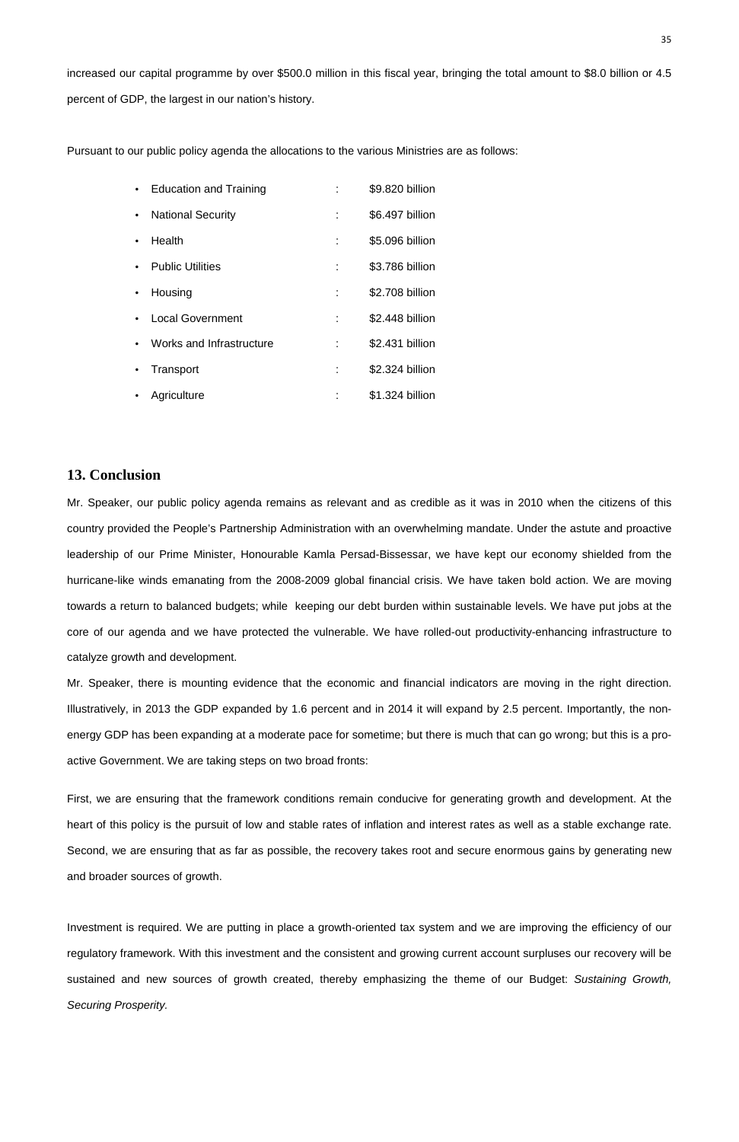increased our capital programme by over \$500.0 million in this fiscal year, bringing the total amount to \$8.0 billion or 4.5 percent of GDP, the largest in our nation's history.

Pursuant to our public policy agenda the allocations to the various Ministries are as follows:

|           | <b>Education and Training</b> | \$9.820 billion |
|-----------|-------------------------------|-----------------|
| $\bullet$ | <b>National Security</b>      | \$6.497 billion |
|           | Health                        | \$5.096 billion |
|           | <b>Public Utilities</b>       | \$3.786 billion |
|           | Housing                       | \$2.708 billion |
|           | <b>Local Government</b>       | \$2.448 billion |
|           | Works and Infrastructure      | \$2.431 billion |
| $\bullet$ | Transport                     | \$2.324 billion |
|           | Agriculture                   | \$1.324 billion |

# **13. Conclusion**

Mr. Speaker, our public policy agenda remains as relevant and as credible as it was in 2010 when the citizens of this country provided the People's Partnership Administration with an overwhelming mandate. Under the astute and proactive leadership of our Prime Minister, Honourable Kamla Persad-Bissessar, we have kept our economy shielded from the hurricane-like winds emanating from the 2008-2009 global financial crisis. We have taken bold action. We are moving towards a return to balanced budgets; while keeping our debt burden within sustainable levels. We have put jobs at the core of our agenda and we have protected the vulnerable. We have rolled-out productivity-enhancing infrastructure to catalyze growth and development.

Mr. Speaker, there is mounting evidence that the economic and financial indicators are moving in the right direction. Illustratively, in 2013 the GDP expanded by 1.6 percent and in 2014 it will expand by 2.5 percent. Importantly, the nonenergy GDP has been expanding at a moderate pace for sometime; but there is much that can go wrong; but this is a proactive Government. We are taking steps on two broad fronts:

First, we are ensuring that the framework conditions remain conducive for generating growth and development. At the heart of this policy is the pursuit of low and stable rates of inflation and interest rates as well as a stable exchange rate.

Second, we are ensuring that as far as possible, the recovery takes root and secure enormous gains by generating new and broader sources of growth.

Investment is required. We are putting in place a growth-oriented tax system and we are improving the efficiency of our regulatory framework. With this investment and the consistent and growing current account surpluses our recovery will be sustained and new sources of growth created, thereby emphasizing the theme of our Budget: Sustaining Growth, Securing Prosperity.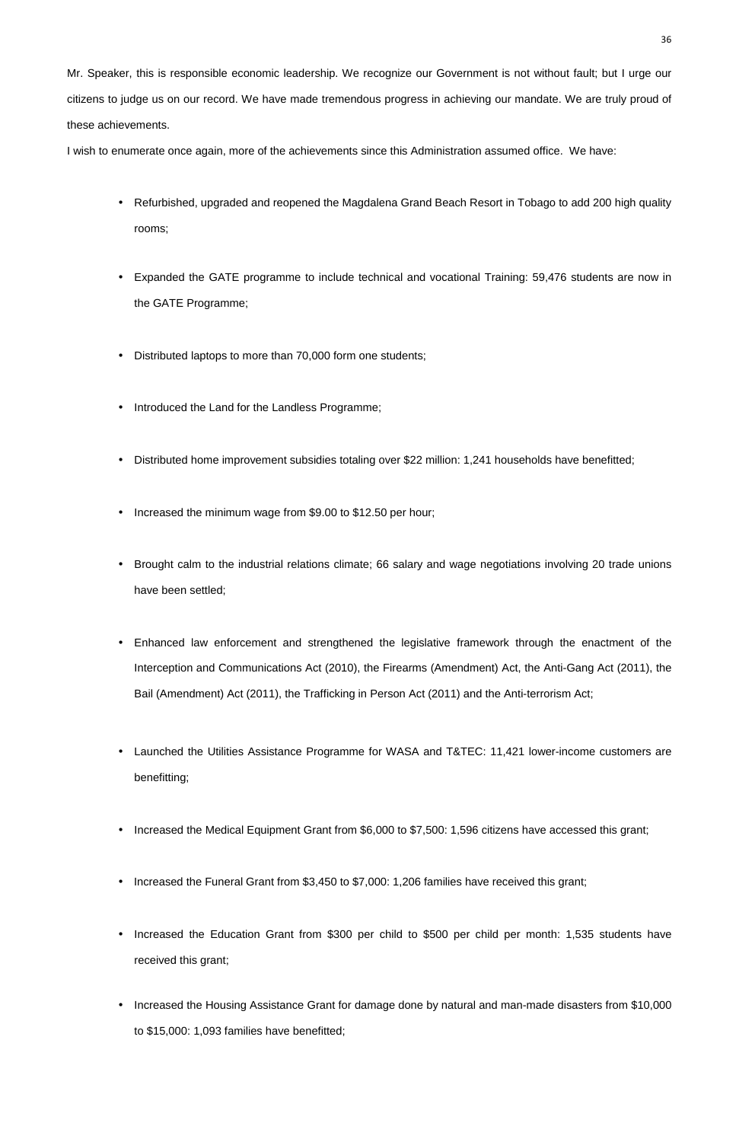Mr. Speaker, this is responsible economic leadership. We recognize our Government is not without fault; but I urge our citizens to judge us on our record. We have made tremendous progress in achieving our mandate. We are truly proud of these achievements.

I wish to enumerate once again, more of the achievements since this Administration assumed office. We have:

- Increased the Funeral Grant from \$3,450 to \$7,000: 1,206 families have received this grant;
- Increased the Education Grant from \$300 per child to \$500 per child per month: 1,535 students have received this grant;
- Increased the Housing Assistance Grant for damage done by natural and man-made disasters from \$10,000
- Refurbished, upgraded and reopened the Magdalena Grand Beach Resort in Tobago to add 200 high quality rooms;
- Expanded the GATE programme to include technical and vocational Training: 59,476 students are now in the GATE Programme;
- Distributed laptops to more than 70,000 form one students;
- Introduced the Land for the Landless Programme;
- Distributed home improvement subsidies totaling over \$22 million: 1,241 households have benefitted;
- Increased the minimum wage from \$9.00 to \$12.50 per hour;
- Brought calm to the industrial relations climate; 66 salary and wage negotiations involving 20 trade unions have been settled;
- Enhanced law enforcement and strengthened the legislative framework through the enactment of the Interception and Communications Act (2010), the Firearms (Amendment) Act, the Anti-Gang Act (2011), the Bail (Amendment) Act (2011), the Trafficking in Person Act (2011) and the Anti-terrorism Act;
- Launched the Utilities Assistance Programme for WASA and T&TEC: 11,421 lower-income customers are benefitting;
- Increased the Medical Equipment Grant from \$6,000 to \$7,500: 1,596 citizens have accessed this grant;

to \$15,000: 1,093 families have benefitted;